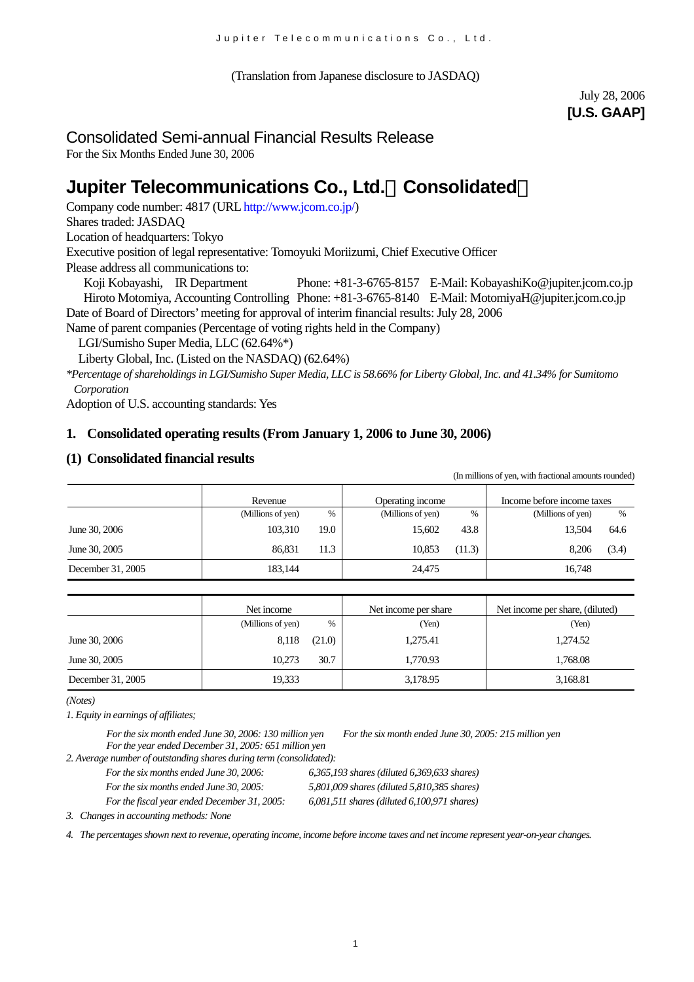(Translation from Japanese disclosure to JASDAQ)

July 28, 2006 **[U.S. GAAP]** 

# Consolidated Semi-annual Financial Results Release

For the Six Months Ended June 30, 2006

# **Jupiter Telecommunications Co., Ltd.**(**Consolidated**)

Company code number: 4817 (URL [http://www.jcom.co.jp/](http://www.jcomxxxxxxxxx.co.jp/))

Shares traded: JASDAQ

Location of headquarters: Tokyo

Executive position of legal representative: Tomoyuki Moriizumi, Chief Executive Officer

Please address all communications to:

 Koji Kobayashi, IR Department Phone: +81-3-6765-8157 E-Mail: [KobayashiKo@jupiter.jcom.co.jp](mailto:KobayashiKo@jupiter.jcom.co.jp) Hiroto Motomiya, Accounting Controlling Phone: +81-3-6765-8140 E-Mail: MotomiyaH@jupiter.jcom.co.jp Date of Board of Directors'meeting for approval of interim financial results: July 28, 2006

Name of parent companies (Percentage of voting rights held in the Company)

LGI/Sumisho Super Media, LLC (62.64%\*)

Liberty Global, Inc. (Listed on the NASDAQ) (62.64%)

*\*Percentage of shareholdings in LGI/Sumisho Super Media, LLC is 58.66% for Liberty Global, Inc. and 41.34% for Sumitomo Corporation*

Adoption of U.S. accounting standards: Yes

### **1. Consolidated operating results (From January 1, 2006 to June 30, 2006)**

### **(1) Consolidated financial results**

(In millions of yen, with fractional amounts rounded)

|                   | Revenue           |      | Operating income  |        | Income before income taxes |       |
|-------------------|-------------------|------|-------------------|--------|----------------------------|-------|
|                   | (Millions of yen) | %    | (Millions of yen) | $\%$   | (Millions of yen)          | $\%$  |
| June 30, 2006     | 103,310           | 19.0 | 15.602            | 43.8   | 13.504                     | 64.6  |
| June 30, 2005     | 86.831            | 11.3 | 10,853            | (11.3) | 8.206                      | (3.4) |
| December 31, 2005 | 183,144           |      | 24,475            |        | 16,748                     |       |

|                   | Net income        |        | Net income per share | Net income per share, (diluted) |
|-------------------|-------------------|--------|----------------------|---------------------------------|
|                   | (Millions of yen) | $\%$   | (Yen)                | (Yen)                           |
| June 30, 2006     | 8,118             | (21.0) | 1,275.41             | 1.274.52                        |
| June 30, 2005     | 10.273            | 30.7   | 1.770.93             | 1.768.08                        |
| December 31, 2005 | 19,333            |        | 3,178.95             | 3,168.81                        |

*(Notes)* 

*1. Equity in earnings of affiliates;*

*For the six month ended June 30, 2006: 130 million yen For the six month ended June 30, 2005: 215 million yen For the year ended December 31, 2005: 651 million yen*

*2. Average number of outstanding shares during term (consolidated):*

*For the six months ended June 30, 2006: 6,365,193 shares (diluted 6,369,633 shares)* 

*For the fiscal year ended December 31, 2005: 6,081,511 shares (diluted 6,100,971 shares)* 

*For the six months ended June 30, 2005: 5,801,009 shares (diluted 5,810,385 shares)* 

*3. Changes in accounting methods: None*

*4. The percentages shown next to revenue, operating income, income before income taxes and net income represent year-on-year changes.*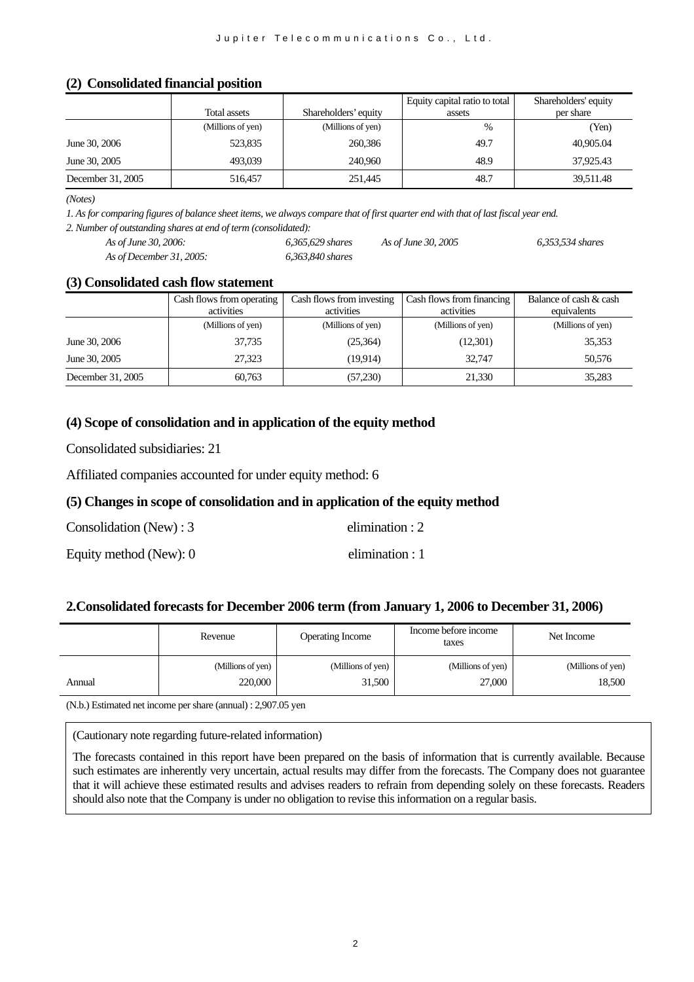#### **(2) Consolidated financial position**

|                   |                   |                      | Equity capital ratio to total | Shareholders' equity |
|-------------------|-------------------|----------------------|-------------------------------|----------------------|
|                   | Total assets      | Shareholders' equity | assets                        | per share            |
|                   | (Millions of yen) | (Millions of yen)    | $\%$                          | (Yen)                |
| June 30, 2006     | 523,835           | 260,386              | 49.7                          | 40,905.04            |
| June 30, 2005     | 493,039           | 240,960              | 48.9                          | 37,925.43            |
| December 31, 2005 | 516,457           | 251,445              | 48.7                          | 39,511.48            |

*(Notes)* 

*1. As for comparing figures of balance sheet items, we always compare that of first quarter end with that of last fiscal year end. 2. Number of outstanding shares at end of term (consolidated):*

| As of June 30, 2006:     | 6.365.629 shares | As of June 30, 2005 | 6.353.534 shares |
|--------------------------|------------------|---------------------|------------------|
| As of December 31, 2005: | 6.363.840 shares |                     |                  |

#### **(3) Consolidated cash flow statement**

|                   | Cash flows from operating | Cash flows from investing | Cash flows from financing | Balance of cash & cash |  |
|-------------------|---------------------------|---------------------------|---------------------------|------------------------|--|
|                   | activities                | activities                | activities                | equivalents            |  |
|                   | (Millions of yen)         | (Millions of yen)         | (Millions of yen)         | (Millions of yen)      |  |
| June 30, 2006     | 37,735                    | (25,364)                  | (12,301)                  | 35,353                 |  |
| June 30, 2005     | 27,323                    | (19,914)                  | 32.747                    | 50,576                 |  |
| December 31, 2005 | 60,763                    | (57,230)                  | 21,330                    | 35,283                 |  |

### **(4) Scope of consolidation and in application of the equity method**

Consolidated subsidiaries: 21

Affiliated companies accounted for under equity method: 6

### **(5) Changes in scope of consolidation and in application of the equity method**

| Consolidation (New) : $3$ | elimination : $2$ |
|---------------------------|-------------------|
| Equity method (New): 0    | elimination : $1$ |

#### **2.Consolidated forecasts for December 2006 term (from January 1, 2006 to December 31, 2006)**

|        | Revenue           | Operating Income  | Income before income<br>taxes | Net Income        |
|--------|-------------------|-------------------|-------------------------------|-------------------|
| Annual | (Millions of yen) | (Millions of yen) | (Millions of yen)             | (Millions of yen) |
|        | 220,000           | 31,500            | 27,000                        | 18,500            |

(N.b.) Estimated net income per share (annual) : 2,907.05 yen

(Cautionary note regarding future-related information)

The forecasts contained in this report have been prepared on the basis of information that is currently available. Because such estimates are inherently very uncertain, actual results may differ from the forecasts. The Company does not guarantee that it will achieve these estimated results and advises readers to refrain from depending solely on these forecasts. Readers should also note that the Company is under no obligation to revise this information on a regular basis.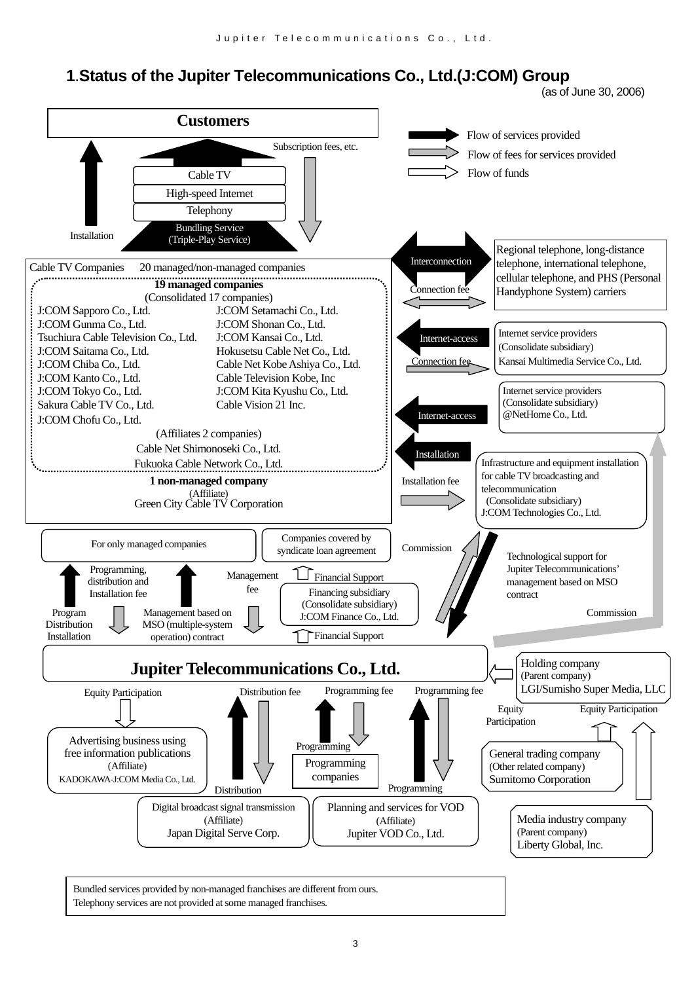# **1**.**Status of the Jupiter Telecommunications Co., Ltd.(J:COM) Group**



Bundled services provided by non-managed franchises are different from ours. Telephony services are not provided at some managed franchises.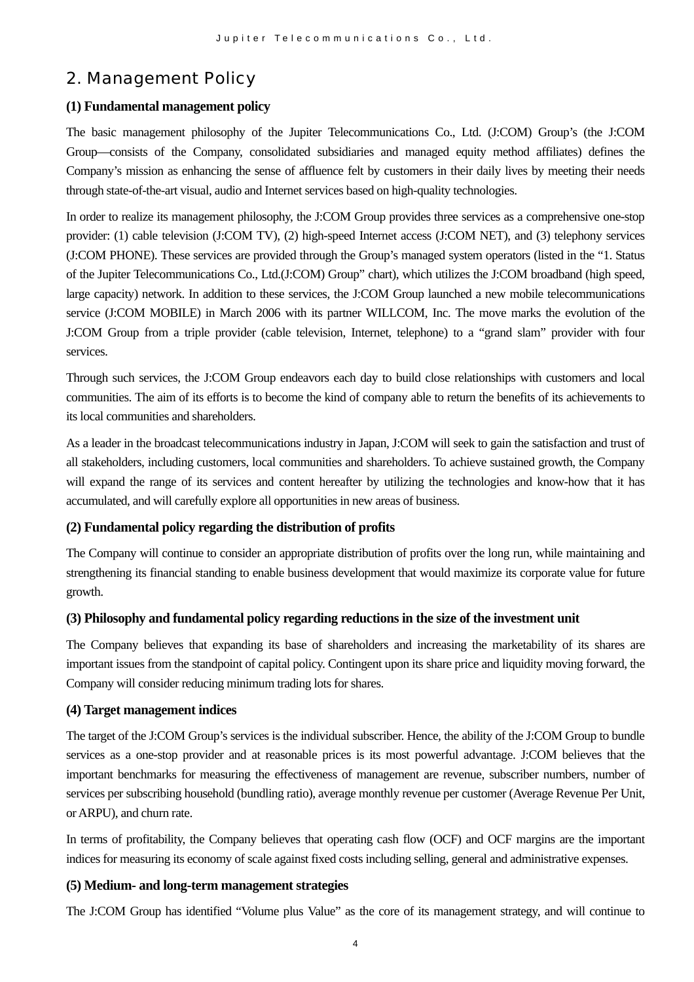# 2. Management Policy

### **(1) Fundamental management policy**

The basic management philosophy of the Jupiter Telecommunications Co., Ltd. (J:COM) Group's (the J:COM Group—consists of the Company, consolidated subsidiaries and managed equity method affiliates) defines the Company's mission as enhancing the sense of affluence felt by customers in their daily lives by meeting their needs through state-of-the-art visual, audio and Internet services based on high-quality technologies.

In order to realize its management philosophy, the J:COM Group provides three services as a comprehensive one-stop provider: (1) cable television (J:COM TV), (2) high-speed Internet access (J:COM NET), and (3) telephony services (J:COM PHONE). These services are provided through the Group's managed system operators (listed in the "1. Status of the Jupiter Telecommunications Co., Ltd.(J:COM) Group" chart), which utilizes the J:COM broadband (high speed, large capacity) network. In addition to these services, the J:COM Group launched a new mobile telecommunications service (J:COM MOBILE) in March 2006 with its partner WILLCOM, Inc. The move marks the evolution of the J:COM Group from a triple provider (cable television, Internet, telephone) to a "grand slam" provider with four services.

Through such services, the J:COM Group endeavors each day to build close relationships with customers and local communities. The aim of its efforts is to become the kind of company able to return the benefits of its achievements to its local communities and shareholders.

As a leader in the broadcast telecommunications industry in Japan, J:COM will seek to gain the satisfaction and trust of all stakeholders, including customers, local communities and shareholders. To achieve sustained growth, the Company will expand the range of its services and content hereafter by utilizing the technologies and know-how that it has accumulated, and will carefully explore all opportunities in new areas of business.

### **(2) Fundamental policy regarding the distribution of profits**

The Company will continue to consider an appropriate distribution of profits over the long run, while maintaining and strengthening its financial standing to enable business development that would maximize its corporate value for future growth.

#### **(3) Philosophy and fundamental policy regarding reductions in the size of the investment unit**

The Company believes that expanding its base of shareholders and increasing the marketability of its shares are important issues from the standpoint of capital policy. Contingent upon its share price and liquidity moving forward, the Company will consider reducing minimum trading lots for shares.

#### **(4) Target management indices**

The target of the J:COM Group's services is the individual subscriber. Hence, the ability of the J:COM Group to bundle services as a one-stop provider and at reasonable prices is its most powerful advantage. J:COM believes that the important benchmarks for measuring the effectiveness of management are revenue, subscriber numbers, number of services per subscribing household (bundling ratio), average monthly revenue per customer (Average Revenue Per Unit, or ARPU), and churn rate.

In terms of profitability, the Company believes that operating cash flow (OCF) and OCF margins are the important indices for measuring its economy of scale against fixed costs including selling, general and administrative expenses.

#### **(5) Medium- and long-term management strategies**

The J:COM Group has identified "Volume plus Value" as the core of its management strategy, and will continue to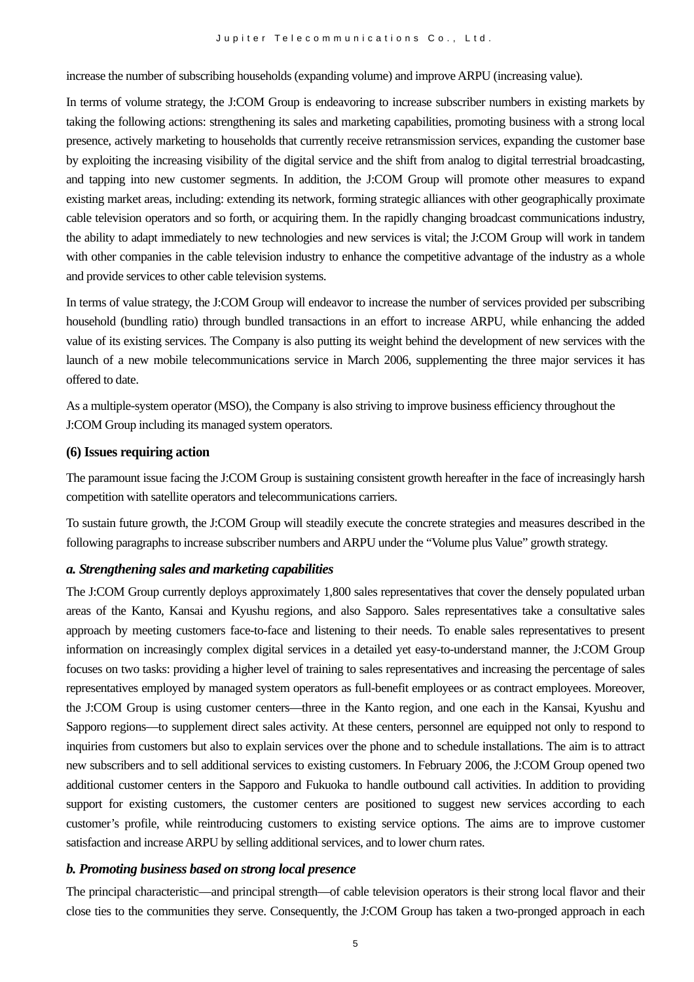increase the number of subscribing households (expanding volume) and improve ARPU (increasing value).

In terms of volume strategy, the J:COM Group is endeavoring to increase subscriber numbers in existing markets by taking the following actions: strengthening its sales and marketing capabilities, promoting business with a strong local presence, actively marketing to households that currently receive retransmission services, expanding the customer base by exploiting the increasing visibility of the digital service and the shift from analog to digital terrestrial broadcasting, and tapping into new customer segments. In addition, the J:COM Group will promote other measures to expand existing market areas, including: extending its network, forming strategic alliances with other geographically proximate cable television operators and so forth, or acquiring them. In the rapidly changing broadcast communications industry, the ability to adapt immediately to new technologies and new services is vital; the J:COM Group will work in tandem with other companies in the cable television industry to enhance the competitive advantage of the industry as a whole and provide services to other cable television systems.

In terms of value strategy, the J:COM Group will endeavor to increase the number of services provided per subscribing household (bundling ratio) through bundled transactions in an effort to increase ARPU, while enhancing the added value of its existing services. The Company is also putting its weight behind the development of new services with the launch of a new mobile telecommunications service in March 2006, supplementing the three major services it has offered to date.

As a multiple-system operator (MSO), the Company is also striving to improve business efficiency throughout the J:COM Group including its managed system operators.

#### **(6) Issues requiring action**

The paramount issue facing the J:COM Group is sustaining consistent growth hereafter in the face of increasingly harsh competition with satellite operators and telecommunications carriers.

To sustain future growth, the J:COM Group will steadily execute the concrete strategies and measures described in the following paragraphs to increase subscriber numbers and ARPU under the "Volume plus Value" growth strategy.

#### *a. Strengthening sales and marketing capabilities*

The J:COM Group currently deploys approximately 1,800 sales representatives that cover the densely populated urban areas of the Kanto, Kansai and Kyushu regions, and also Sapporo. Sales representatives take a consultative sales approach by meeting customers face-to-face and listening to their needs. To enable sales representatives to present information on increasingly complex digital services in a detailed yet easy-to-understand manner, the J:COM Group focuses on two tasks: providing a higher level of training to sales representatives and increasing the percentage of sales representatives employed by managed system operators as full-benefit employees or as contract employees. Moreover, the J:COM Group is using customer centers—three in the Kanto region, and one each in the Kansai, Kyushu and Sapporo regions—to supplement direct sales activity. At these centers, personnel are equipped not only to respond to inquiries from customers but also to explain services over the phone and to schedule installations. The aim is to attract new subscribers and to sell additional services to existing customers. In February 2006, the J:COM Group opened two additional customer centers in the Sapporo and Fukuoka to handle outbound call activities. In addition to providing support for existing customers, the customer centers are positioned to suggest new services according to each customer's profile, while reintroducing customers to existing service options. The aims are to improve customer satisfaction and increase ARPU by selling additional services, and to lower churn rates.

#### *b. Promoting business based on strong local presence*

The principal characteristic—and principal strength—of cable television operators is their strong local flavor and their close ties to the communities they serve. Consequently, the J:COM Group has taken a two-pronged approach in each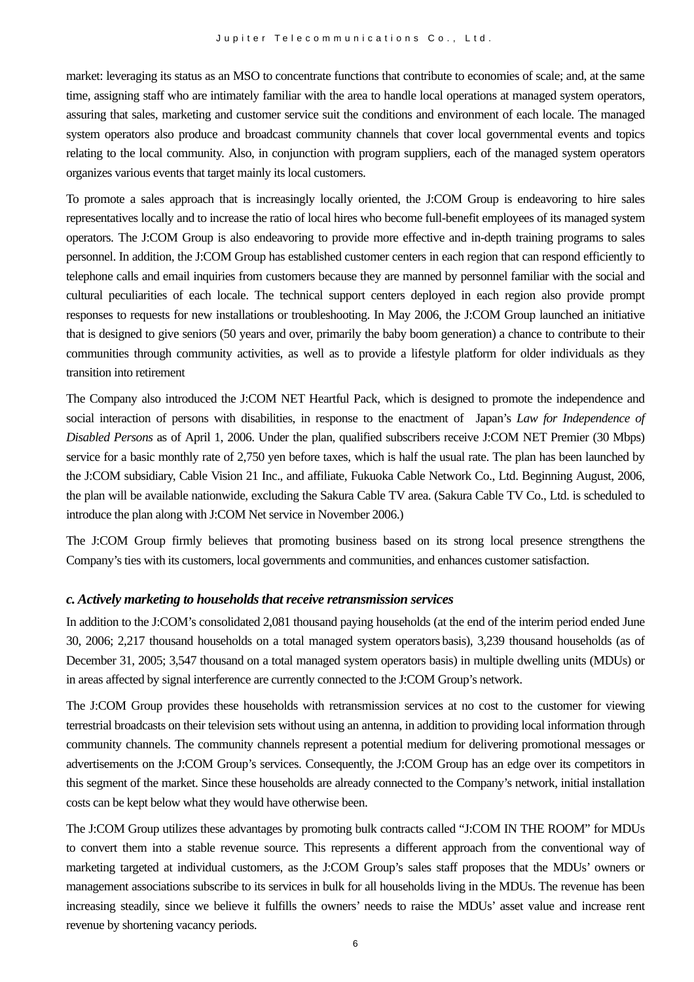market: leveraging its status as an MSO to concentrate functions that contribute to economies of scale; and, at the same time, assigning staff who are intimately familiar with the area to handle local operations at managed system operators, assuring that sales, marketing and customer service suit the conditions and environment of each locale. The managed system operators also produce and broadcast community channels that cover local governmental events and topics relating to the local community. Also, in conjunction with program suppliers, each of the managed system operators organizes various events that target mainly its local customers.

To promote a sales approach that is increasingly locally oriented, the J:COM Group is endeavoring to hire sales representatives locally and to increase the ratio of local hires who become full-benefit employees of its managed system operators. The J:COM Group is also endeavoring to provide more effective and in-depth training programs to sales personnel. In addition, the J:COM Group has established customer centers in each region that can respond efficiently to telephone calls and email inquiries from customers because they are manned by personnel familiar with the social and cultural peculiarities of each locale. The technical support centers deployed in each region also provide prompt responses to requests for new installations or troubleshooting. In May 2006, the J:COM Group launched an initiative that is designed to give seniors (50 years and over, primarily the baby boom generation) a chance to contribute to their communities through community activities, as well as to provide a lifestyle platform for older individuals as they transition into retirement

The Company also introduced the J:COM NET Heartful Pack, which is designed to promote the independence and social interaction of persons with disabilities, in response to the enactment of Japan's *Law for Independence of Disabled Persons* as of April 1, 2006. Under the plan, qualified subscribers receive J:COM NET Premier (30 Mbps) service for a basic monthly rate of 2,750 yen before taxes, which is half the usual rate. The plan has been launched by the J:COM subsidiary, Cable Vision 21 Inc., and affiliate, Fukuoka Cable Network Co., Ltd. Beginning August, 2006, the plan will be available nationwide, excluding the Sakura Cable TV area. (Sakura Cable TV Co., Ltd. is scheduled to introduce the plan along with J:COM Net service in November 2006.)

The J:COM Group firmly believes that promoting business based on its strong local presence strengthens the Company's ties with its customers, local governments and communities, and enhances customer satisfaction.

#### *c. Actively marketing to households that receive retransmission services*

In addition to the J:COM's consolidated 2,081 thousand paying households (at the end of the interim period ended June 30, 2006; 2,217 thousand households on a total managed system operators basis), 3,239 thousand households (as of December 31, 2005; 3,547 thousand on a total managed system operators basis) in multiple dwelling units (MDUs) or in areas affected by signal interference are currently connected to the J:COM Group's network.

The J:COM Group provides these households with retransmission services at no cost to the customer for viewing terrestrial broadcasts on their television sets without using an antenna, in addition to providing local information through community channels. The community channels represent a potential medium for delivering promotional messages or advertisements on the J:COM Group's services. Consequently, the J:COM Group has an edge over its competitors in this segment of the market. Since these households are already connected to the Company's network, initial installation costs can be kept below what they would have otherwise been.

The J:COM Group utilizes these advantages by promoting bulk contracts called "J:COM IN THE ROOM" for MDUs to convert them into a stable revenue source. This represents a different approach from the conventional way of marketing targeted at individual customers, as the J:COM Group's sales staff proposes that the MDUs' owners or management associations subscribe to its services in bulk for all households living in the MDUs. The revenue has been increasing steadily, since we believe it fulfills the owners' needs to raise the MDUs' asset value and increase rent revenue by shortening vacancy periods.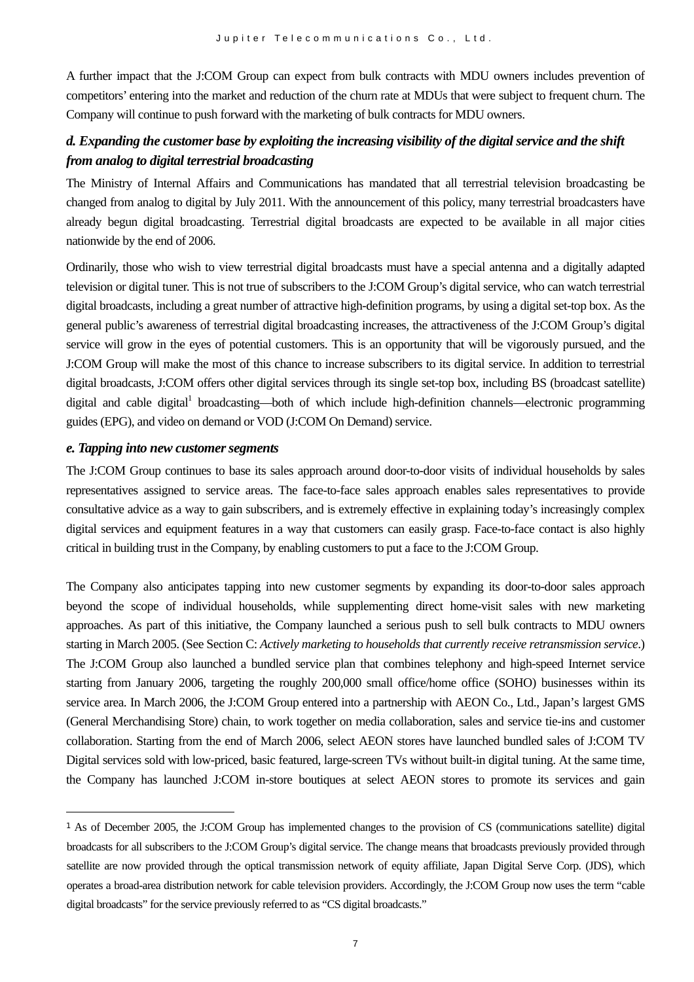A further impact that the J:COM Group can expect from bulk contracts with MDU owners includes prevention of competitors' entering into the market and reduction of the churn rate at MDUs that were subject to frequent churn. The Company will continue to push forward with the marketing of bulk contracts for MDU owners.

# *d. Expanding the customer base by exploiting the increasing visibility of the digital service and the shift from analog to digital terrestrial broadcasting*

The Ministry of Internal Affairs and Communications has mandated that all terrestrial television broadcasting be changed from analog to digital by July 2011. With the announcement of this policy, many terrestrial broadcasters have already begun digital broadcasting. Terrestrial digital broadcasts are expected to be available in all major cities nationwide by the end of 2006.

Ordinarily, those who wish to view terrestrial digital broadcasts must have a special antenna and a digitally adapted television or digital tuner. This is not true of subscribers to the J:COM Group's digital service, who can watch terrestrial digital broadcasts, including a great number of attractive high-definition programs, by using a digital set-top box. As the general public's awareness of terrestrial digital broadcasting increases, the attractiveness of the J:COM Group's digital service will grow in the eyes of potential customers. This is an opportunity that will be vigorously pursued, and the J:COM Group will make the most of this chance to increase subscribers to its digital service. In addition to terrestrial digital broadcasts, J:COM offers other digital services through its single set-top box, including BS (broadcast satellite) digital and cable digital<sup>1</sup> broadcasting—both of which include high-definition channels—electronic programming guides (EPG), and video on demand or VOD (J:COM On Demand) service.

#### *e. Tapping into new customer segments*

 $\overline{a}$ 

The J:COM Group continues to base its sales approach around door-to-door visits of individual households by sales representatives assigned to service areas. The face-to-face sales approach enables sales representatives to provide consultative advice as a way to gain subscribers, and is extremely effective in explaining today's increasingly complex digital services and equipment features in a way that customers can easily grasp. Face-to-face contact is also highly critical in building trust in the Company, by enabling customers to put a face to the J:COM Group.

The Company also anticipates tapping into new customer segments by expanding its door-to-door sales approach beyond the scope of individual households, while supplementing direct home-visit sales with new marketing approaches. As part of this initiative, the Company launched a serious push to sell bulk contracts to MDU owners starting in March 2005. (See Section C: *Actively marketing to households that currently receive retransmission service*.) The J:COM Group also launched a bundled service plan that combines telephony and high-speed Internet service starting from January 2006, targeting the roughly 200,000 small office/home office (SOHO) businesses within its service area. In March 2006, the J:COM Group entered into a partnership with AEON Co., Ltd., Japan's largest GMS (General Merchandising Store) chain, to work together on media collaboration, sales and service tie-ins and customer collaboration. Starting from the end of March 2006, select AEON stores have launched bundled sales of J:COM TV Digital services sold with low-priced, basic featured, large-screen TVs without built-in digital tuning. At the same time, the Company has launched J:COM in-store boutiques at select AEON stores to promote its services and gain

<span id="page-6-0"></span><sup>1</sup> As of December 2005, the J:COM Group has implemented changes to the provision of CS (communications satellite) digital broadcasts for all subscribers to the J:COM Group's digital service. The change means that broadcasts previously provided through satellite are now provided through the optical transmission network of equity affiliate, Japan Digital Serve Corp. (JDS), which operates a broad-area distribution network for cable television providers. Accordingly, the J:COM Group now uses the term "cable digital broadcasts" for the service previously referred to as "CS digital broadcasts."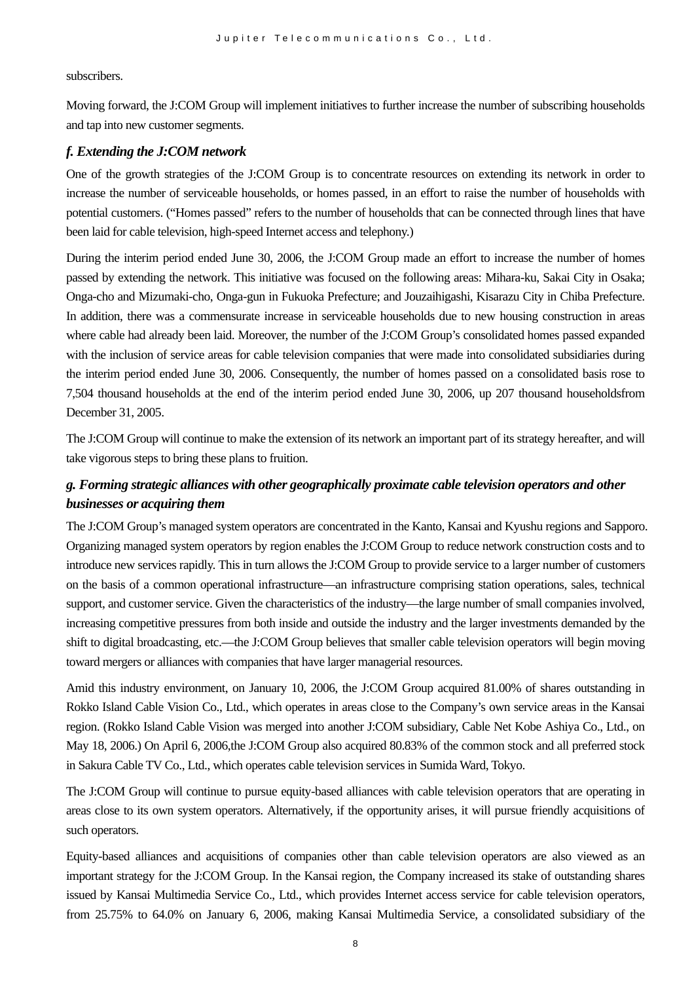subscribers.

Moving forward, the J:COM Group will implement initiatives to further increase the number of subscribing households and tap into new customer segments.

#### *f. Extending the J:COM network*

One of the growth strategies of the J:COM Group is to concentrate resources on extending its network in order to increase the number of serviceable households, or homes passed, in an effort to raise the number of households with potential customers. ("Homes passed" refers to the number of households that can be connected through lines that have been laid for cable television, high-speed Internet access and telephony.)

During the interim period ended June 30, 2006, the J:COM Group made an effort to increase the number of homes passed by extending the network. This initiative was focused on the following areas: Mihara-ku, Sakai City in Osaka; Onga-cho and Mizumaki-cho, Onga-gun in Fukuoka Prefecture; and Jouzaihigashi, Kisarazu City in Chiba Prefecture. In addition, there was a commensurate increase in serviceable households due to new housing construction in areas where cable had already been laid. Moreover, the number of the J:COM Group's consolidated homes passed expanded with the inclusion of service areas for cable television companies that were made into consolidated subsidiaries during the interim period ended June 30, 2006. Consequently, the number of homes passed on a consolidated basis rose to 7,504 thousand households at the end of the interim period ended June 30, 2006, up 207 thousand householdsfrom December 31, 2005.

The J:COM Group will continue to make the extension of its network an important part of its strategy hereafter, and will take vigorous steps to bring these plans to fruition.

# *g. Forming strategic alliances with other geographically proximate cable television operators and other businesses or acquiring them*

The J:COM Group's managed system operators are concentrated in the Kanto, Kansai and Kyushu regions and Sapporo. Organizing managed system operators by region enables the J:COM Group to reduce network construction costs and to introduce new services rapidly. This in turn allows the J:COM Group to provide service to a larger number of customers on the basis of a common operational infrastructure—an infrastructure comprising station operations, sales, technical support, and customer service. Given the characteristics of the industry—the large number of small companies involved, increasing competitive pressures from both inside and outside the industry and the larger investments demanded by the shift to digital broadcasting, etc.—the J:COM Group believes that smaller cable television operators will begin moving toward mergers or alliances with companies that have larger managerial resources.

Amid this industry environment, on January 10, 2006, the J:COM Group acquired 81.00% of shares outstanding in Rokko Island Cable Vision Co., Ltd., which operates in areas close to the Company's own service areas in the Kansai region. (Rokko Island Cable Vision was merged into another J:COM subsidiary, Cable Net Kobe Ashiya Co., Ltd., on May 18, 2006.) On April 6, 2006,the J:COM Group also acquired 80.83% of the common stock and all preferred stock in Sakura Cable TV Co., Ltd., which operates cable television services in Sumida Ward, Tokyo.

The J:COM Group will continue to pursue equity-based alliances with cable television operators that are operating in areas close to its own system operators. Alternatively, if the opportunity arises, it will pursue friendly acquisitions of such operators.

Equity-based alliances and acquisitions of companies other than cable television operators are also viewed as an important strategy for the J:COM Group. In the Kansai region, the Company increased its stake of outstanding shares issued by Kansai Multimedia Service Co., Ltd., which provides Internet access service for cable television operators, from 25.75% to 64.0% on January 6, 2006, making Kansai Multimedia Service, a consolidated subsidiary of the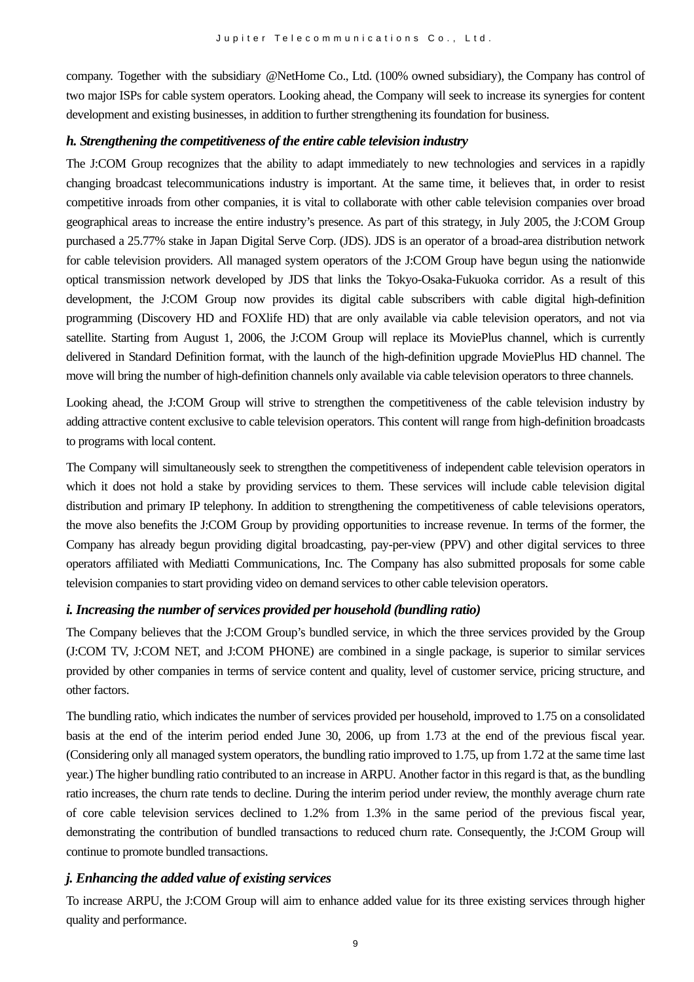company. Together with the subsidiary @NetHome Co., Ltd. (100% owned subsidiary), the Company has control of two major ISPs for cable system operators. Looking ahead, the Company will seek to increase its synergies for content development and existing businesses, in addition to further strengthening its foundation for business.

#### *h. Strengthening the competitiveness of the entire cable television industry*

The J:COM Group recognizes that the ability to adapt immediately to new technologies and services in a rapidly changing broadcast telecommunications industry is important. At the same time, it believes that, in order to resist competitive inroads from other companies, it is vital to collaborate with other cable television companies over broad geographical areas to increase the entire industry's presence. As part of this strategy, in July 2005, the J:COM Group purchased a 25.77% stake in Japan Digital Serve Corp. (JDS). JDS is an operator of a broad-area distribution network for cable television providers. All managed system operators of the J:COM Group have begun using the nationwide optical transmission network developed by JDS that links the Tokyo-Osaka-Fukuoka corridor. As a result of this development, the J:COM Group now provides its digital cable subscribers with cable digital high-definition programming (Discovery HD and FOXlife HD) that are only available via cable television operators, and not via satellite. Starting from August 1, 2006, the J:COM Group will replace its MoviePlus channel, which is currently delivered in Standard Definition format, with the launch of the high-definition upgrade MoviePlus HD channel. The move will bring the number of high-definition channels only available via cable television operators to three channels.

Looking ahead, the J:COM Group will strive to strengthen the competitiveness of the cable television industry by adding attractive content exclusive to cable television operators. This content will range from high-definition broadcasts to programs with local content.

The Company will simultaneously seek to strengthen the competitiveness of independent cable television operators in which it does not hold a stake by providing services to them. These services will include cable television digital distribution and primary IP telephony. In addition to strengthening the competitiveness of cable televisions operators, the move also benefits the J:COM Group by providing opportunities to increase revenue. In terms of the former, the Company has already begun providing digital broadcasting, pay-per-view (PPV) and other digital services to three operators affiliated with Mediatti Communications, Inc. The Company has also submitted proposals for some cable television companies to start providing video on demand services to other cable television operators.

#### *i. Increasing the number of services provided per household (bundling ratio)*

The Company believes that the J:COM Group's bundled service, in which the three services provided by the Group (J:COM TV, J:COM NET, and J:COM PHONE) are combined in a single package, is superior to similar services provided by other companies in terms of service content and quality, level of customer service, pricing structure, and other factors.

The bundling ratio, which indicates the number of services provided per household, improved to 1.75 on a consolidated basis at the end of the interim period ended June 30, 2006, up from 1.73 at the end of the previous fiscal year. (Considering only all managed system operators, the bundling ratio improved to 1.75, up from 1.72 at the same time last year.) The higher bundling ratio contributed to an increase in ARPU. Another factor in this regard is that, as the bundling ratio increases, the churn rate tends to decline. During the interim period under review, the monthly average churn rate of core cable television services declined to 1.2% from 1.3% in the same period of the previous fiscal year, demonstrating the contribution of bundled transactions to reduced churn rate. Consequently, the J:COM Group will continue to promote bundled transactions.

#### *j. Enhancing the added value of existing services*

To increase ARPU, the J:COM Group will aim to enhance added value for its three existing services through higher quality and performance.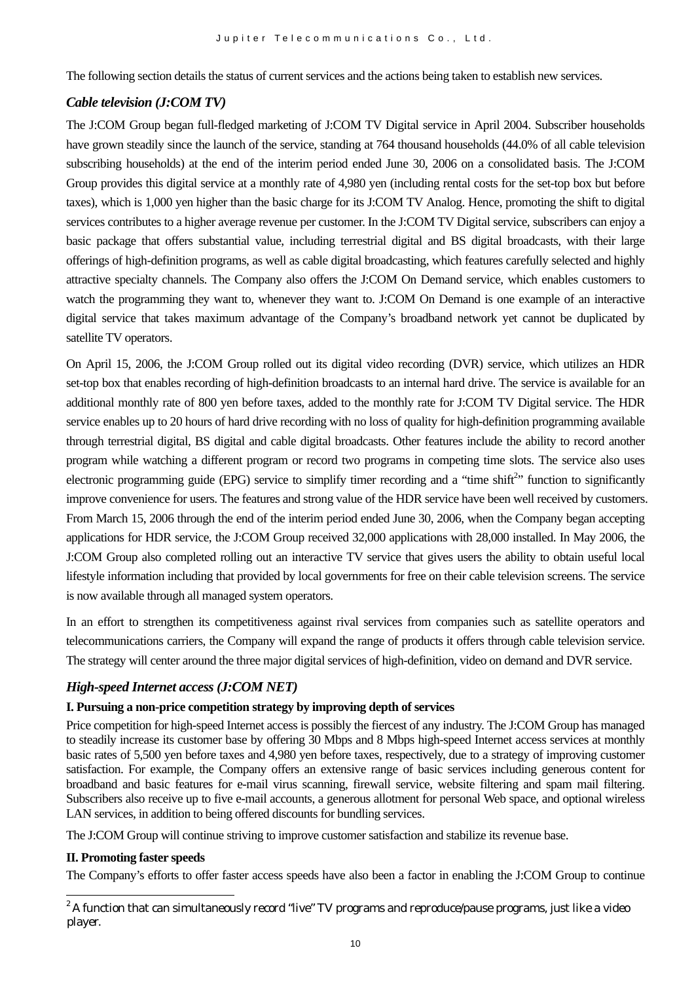The following section details the status of current services and the actions being taken to establish new services.

#### *Cable television (J:COM TV)*

The J:COM Group began full-fledged marketing of J:COM TV Digital service in April 2004. Subscriber households have grown steadily since the launch of the service, standing at 764 thousand households (44.0% of all cable television subscribing households) at the end of the interim period ended June 30, 2006 on a consolidated basis. The J:COM Group provides this digital service at a monthly rate of 4,980 yen (including rental costs for the set-top box but before taxes), which is 1,000 yen higher than the basic charge for its J:COM TV Analog. Hence, promoting the shift to digital services contributes to a higher average revenue per customer. In the J:COM TV Digital service, subscribers can enjoy a basic package that offers substantial value, including terrestrial digital and BS digital broadcasts, with their large offerings of high-definition programs, as well as cable digital broadcasting, which features carefully selected and highly attractive specialty channels. The Company also offers the J:COM On Demand service, which enables customers to watch the programming they want to, whenever they want to. J:COM On Demand is one example of an interactive digital service that takes maximum advantage of the Company's broadband network yet cannot be duplicated by satellite TV operators.

On April 15, 2006, the J:COM Group rolled out its digital video recording (DVR) service, which utilizes an HDR set-top box that enables recording of high-definition broadcasts to an internal hard drive. The service is available for an additional monthly rate of 800 yen before taxes, added to the monthly rate for J:COM TV Digital service. The HDR service enables up to 20 hours of hard drive recording with no loss of quality for high-definition programming available through terrestrial digital, BS digital and cable digital broadcasts. Other features include the ability to record another program while watching a different program or record two programs in competing time slots. The service also uses electronic programming guide (EPG) service to simplify timer recording and a "time shift<sup>[2](#page-9-0)</sup>" function to significantly improve convenience for users. The features and strong value of the HDR service have been well received by customers. From March 15, 2006 through the end of the interim period ended June 30, 2006, when the Company began accepting applications for HDR service, the J:COM Group received 32,000 applications with 28,000 installed. In May 2006, the J:COM Group also completed rolling out an interactive TV service that gives users the ability to obtain useful local lifestyle information including that provided by local governments for free on their cable television screens. The service is now available through all managed system operators.

In an effort to strengthen its competitiveness against rival services from companies such as satellite operators and telecommunications carriers, the Company will expand the range of products it offers through cable television service. The strategy will center around the three major digital services of high-definition, video on demand and DVR service.

### *High-speed Internet access (J:COM NET)*

#### **I. Pursuing a non-price competition strategy by improving depth of services**

Price competition for high-speed Internet access is possibly the fiercest of any industry. The J:COM Group has managed to steadily increase its customer base by offering 30 Mbps and 8 Mbps high-speed Internet access services at monthly basic rates of 5,500 yen before taxes and 4,980 yen before taxes, respectively, due to a strategy of improving customer satisfaction. For example, the Company offers an extensive range of basic services including generous content for broadband and basic features for e-mail virus scanning, firewall service, website filtering and spam mail filtering. Subscribers also receive up to five e-mail accounts, a generous allotment for personal Web space, and optional wireless LAN services, in addition to being offered discounts for bundling services.

The J:COM Group will continue striving to improve customer satisfaction and stabilize its revenue base.

#### **II. Promoting faster speeds**

The Company's efforts to offer faster access speeds have also been a factor in enabling the J:COM Group to continue

<span id="page-9-0"></span> $2$  A function that can simultaneously record "live" TV programs and reproduce/pause programs, just like a video player.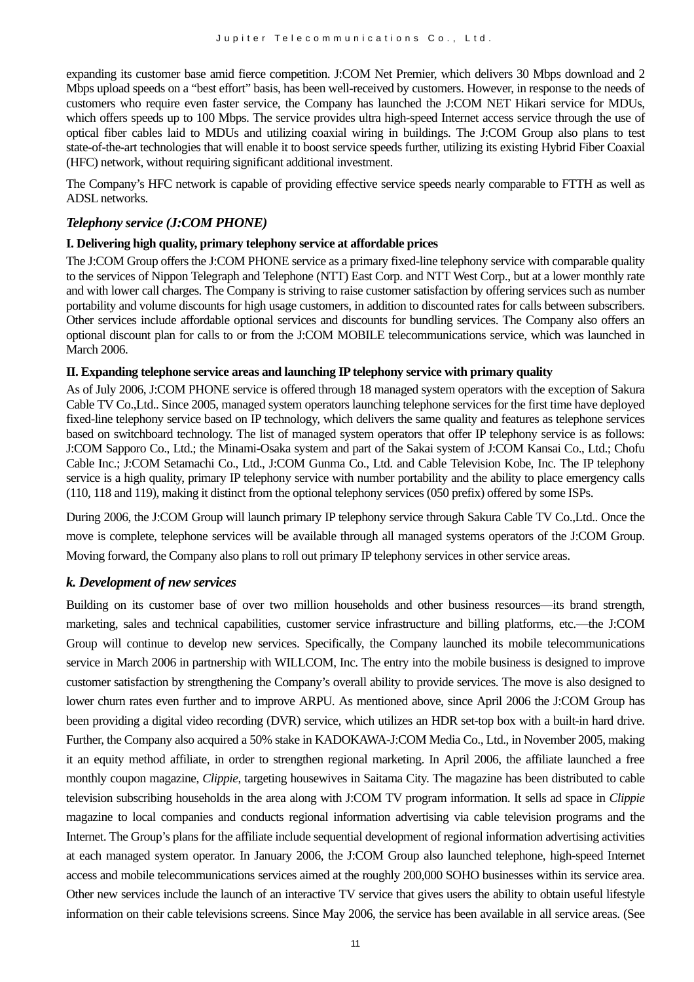expanding its customer base amid fierce competition. J:COM Net Premier, which delivers 30 Mbps download and 2 Mbps upload speeds on a "best effort" basis, has been well-received by customers. However, in response to the needs of customers who require even faster service, the Company has launched the J:COM NET Hikari service for MDUs, which offers speeds up to 100 Mbps. The service provides ultra high-speed Internet access service through the use of optical fiber cables laid to MDUs and utilizing coaxial wiring in buildings. The J:COM Group also plans to test state-of-the-art technologies that will enable it to boost service speeds further, utilizing its existing Hybrid Fiber Coaxial (HFC) network, without requiring significant additional investment.

The Company's HFC network is capable of providing effective service speeds nearly comparable to FTTH as well as ADSL networks.

#### *Telephony service (J:COM PHONE)*

#### **I. Delivering high quality, primary telephony service at affordable prices**

The J:COM Group offers the J:COM PHONE service as a primary fixed-line telephony service with comparable quality to the services of Nippon Telegraph and Telephone (NTT) East Corp. and NTT West Corp., but at a lower monthly rate and with lower call charges. The Company is striving to raise customer satisfaction by offering services such as number portability and volume discounts for high usage customers, in addition to discounted rates for calls between subscribers. Other services include affordable optional services and discounts for bundling services. The Company also offers an optional discount plan for calls to or from the J:COM MOBILE telecommunications service, which was launched in March 2006.

#### **II. Expanding telephone service areas and launching IP telephony service with primary quality**

As of July 2006, J:COM PHONE service is offered through 18 managed system operators with the exception of Sakura Cable TV Co.,Ltd.. Since 2005, managed system operators launching telephone services for the first time have deployed fixed-line telephony service based on IP technology, which delivers the same quality and features as telephone services based on switchboard technology. The list of managed system operators that offer IP telephony service is as follows: J:COM Sapporo Co., Ltd.; the Minami-Osaka system and part of the Sakai system of J:COM Kansai Co., Ltd.; Chofu Cable Inc.; J:COM Setamachi Co., Ltd., J:COM Gunma Co., Ltd. and Cable Television Kobe, Inc. The IP telephony service is a high quality, primary IP telephony service with number portability and the ability to place emergency calls (110, 118 and 119), making it distinct from the optional telephony services (050 prefix) offered by some ISPs.

During 2006, the J:COM Group will launch primary IP telephony service through Sakura Cable TV Co.,Ltd.. Once the move is complete, telephone services will be available through all managed systems operators of the J:COM Group. Moving forward, the Company also plans to roll out primary IP telephony services in other service areas.

#### *k. Development of new services*

Building on its customer base of over two million households and other business resources—its brand strength, marketing, sales and technical capabilities, customer service infrastructure and billing platforms, etc.—the J:COM Group will continue to develop new services. Specifically, the Company launched its mobile telecommunications service in March 2006 in partnership with WILLCOM, Inc. The entry into the mobile business is designed to improve customer satisfaction by strengthening the Company's overall ability to provide services. The move is also designed to lower churn rates even further and to improve ARPU. As mentioned above, since April 2006 the J:COM Group has been providing a digital video recording (DVR) service, which utilizes an HDR set-top box with a built-in hard drive. Further, the Company also acquired a 50% stake in KADOKAWA-J:COM Media Co., Ltd., in November 2005, making it an equity method affiliate, in order to strengthen regional marketing. In April 2006, the affiliate launched a free monthly coupon magazine, *Clippie*, targeting housewives in Saitama City. The magazine has been distributed to cable television subscribing households in the area along with J:COM TV program information. It sells ad space in *Clippie*  magazine to local companies and conducts regional information advertising via cable television programs and the Internet. The Group's plans for the affiliate include sequential development of regional information advertising activities at each managed system operator. In January 2006, the J:COM Group also launched telephone, high-speed Internet access and mobile telecommunications services aimed at the roughly 200,000 SOHO businesses within its service area. Other new services include the launch of an interactive TV service that gives users the ability to obtain useful lifestyle information on their cable televisions screens. Since May 2006, the service has been available in all service areas. (See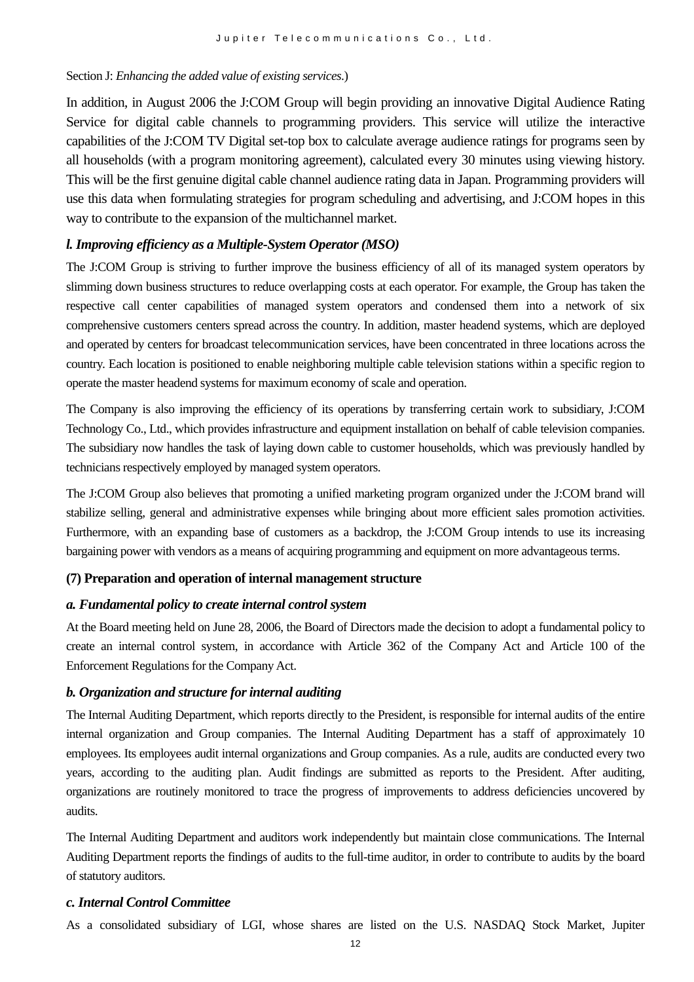#### Section J: *Enhancing the added value of existing services*.)

In addition, in August 2006 the J:COM Group will begin providing an innovative Digital Audience Rating Service for digital cable channels to programming providers. This service will utilize the interactive capabilities of the J:COM TV Digital set-top box to calculate average audience ratings for programs seen by all households (with a program monitoring agreement), calculated every 30 minutes using viewing history. This will be the first genuine digital cable channel audience rating data in Japan. Programming providers will use this data when formulating strategies for program scheduling and advertising, and J:COM hopes in this way to contribute to the expansion of the multichannel market.

#### *l. Improving efficiency as a Multiple-System Operator (MSO)*

The J:COM Group is striving to further improve the business efficiency of all of its managed system operators by slimming down business structures to reduce overlapping costs at each operator. For example, the Group has taken the respective call center capabilities of managed system operators and condensed them into a network of six comprehensive customers centers spread across the country. In addition, master headend systems, which are deployed and operated by centers for broadcast telecommunication services, have been concentrated in three locations across the country. Each location is positioned to enable neighboring multiple cable television stations within a specific region to operate the master headend systems for maximum economy of scale and operation.

The Company is also improving the efficiency of its operations by transferring certain work to subsidiary, J:COM Technology Co., Ltd., which provides infrastructure and equipment installation on behalf of cable television companies. The subsidiary now handles the task of laying down cable to customer households, which was previously handled by technicians respectively employed by managed system operators.

The J:COM Group also believes that promoting a unified marketing program organized under the J:COM brand will stabilize selling, general and administrative expenses while bringing about more efficient sales promotion activities. Furthermore, with an expanding base of customers as a backdrop, the J:COM Group intends to use its increasing bargaining power with vendors as a means of acquiring programming and equipment on more advantageous terms.

#### **(7) Preparation and operation of internal management structure**

#### *a. Fundamental policy to create internal control system*

At the Board meeting held on June 28, 2006, the Board of Directors made the decision to adopt a fundamental policy to create an internal control system, in accordance with Article 362 of the Company Act and Article 100 of the Enforcement Regulations for the Company Act.

#### *b. Organization and structure for internal auditing*

The Internal Auditing Department, which reports directly to the President, is responsible for internal audits of the entire internal organization and Group companies. The Internal Auditing Department has a staff of approximately 10 employees. Its employees audit internal organizations and Group companies. As a rule, audits are conducted every two years, according to the auditing plan. Audit findings are submitted as reports to the President. After auditing, organizations are routinely monitored to trace the progress of improvements to address deficiencies uncovered by audits.

The Internal Auditing Department and auditors work independently but maintain close communications. The Internal Auditing Department reports the findings of audits to the full-time auditor, in order to contribute to audits by the board of statutory auditors.

#### *c. Internal Control Committee*

As a consolidated subsidiary of LGI, whose shares are listed on the U.S. NASDAQ Stock Market, Jupiter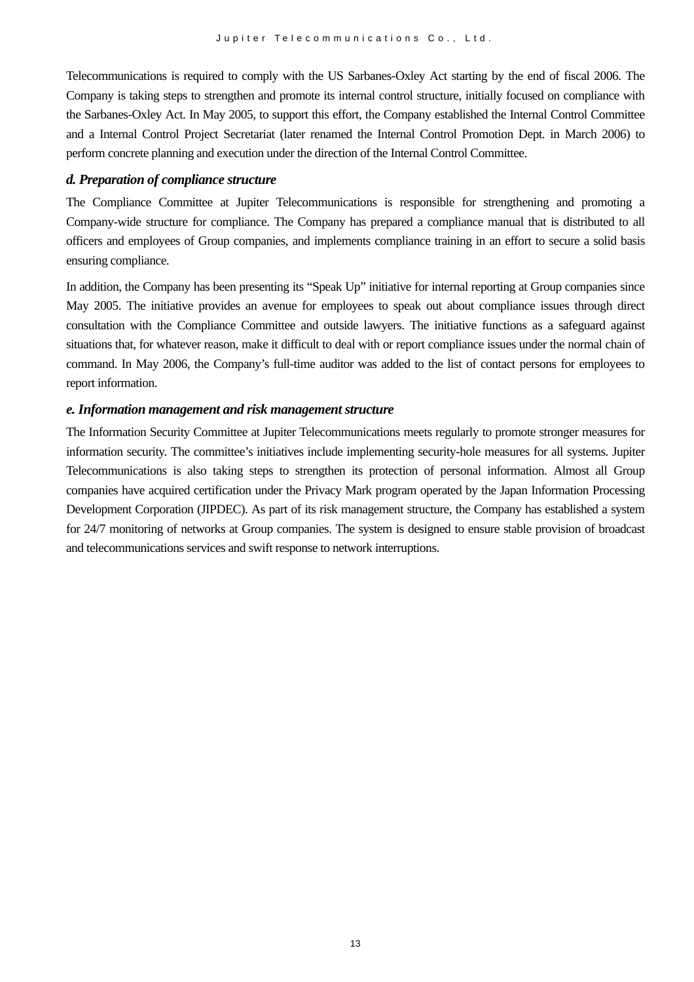Telecommunications is required to comply with the US Sarbanes-Oxley Act starting by the end of fiscal 2006. The Company is taking steps to strengthen and promote its internal control structure, initially focused on compliance with the Sarbanes-Oxley Act. In May 2005, to support this effort, the Company established the Internal Control Committee and a Internal Control Project Secretariat (later renamed the Internal Control Promotion Dept. in March 2006) to perform concrete planning and execution under the direction of the Internal Control Committee.

#### *d. Preparation of compliance structure*

The Compliance Committee at Jupiter Telecommunications is responsible for strengthening and promoting a Company-wide structure for compliance. The Company has prepared a compliance manual that is distributed to all officers and employees of Group companies, and implements compliance training in an effort to secure a solid basis ensuring compliance.

In addition, the Company has been presenting its "Speak Up" initiative for internal reporting at Group companies since May 2005. The initiative provides an avenue for employees to speak out about compliance issues through direct consultation with the Compliance Committee and outside lawyers. The initiative functions as a safeguard against situations that, for whatever reason, make it difficult to deal with or report compliance issues under the normal chain of command. In May 2006, the Company's full-time auditor was added to the list of contact persons for employees to report information.

#### *e. Information management and risk management structure*

The Information Security Committee at Jupiter Telecommunications meets regularly to promote stronger measures for information security. The committee's initiatives include implementing security-hole measures for all systems. Jupiter Telecommunications is also taking steps to strengthen its protection of personal information. Almost all Group companies have acquired certification under the Privacy Mark program operated by the Japan Information Processing Development Corporation (JIPDEC). As part of its risk management structure, the Company has established a system for 24/7 monitoring of networks at Group companies. The system is designed to ensure stable provision of broadcast and telecommunications services and swift response to network interruptions.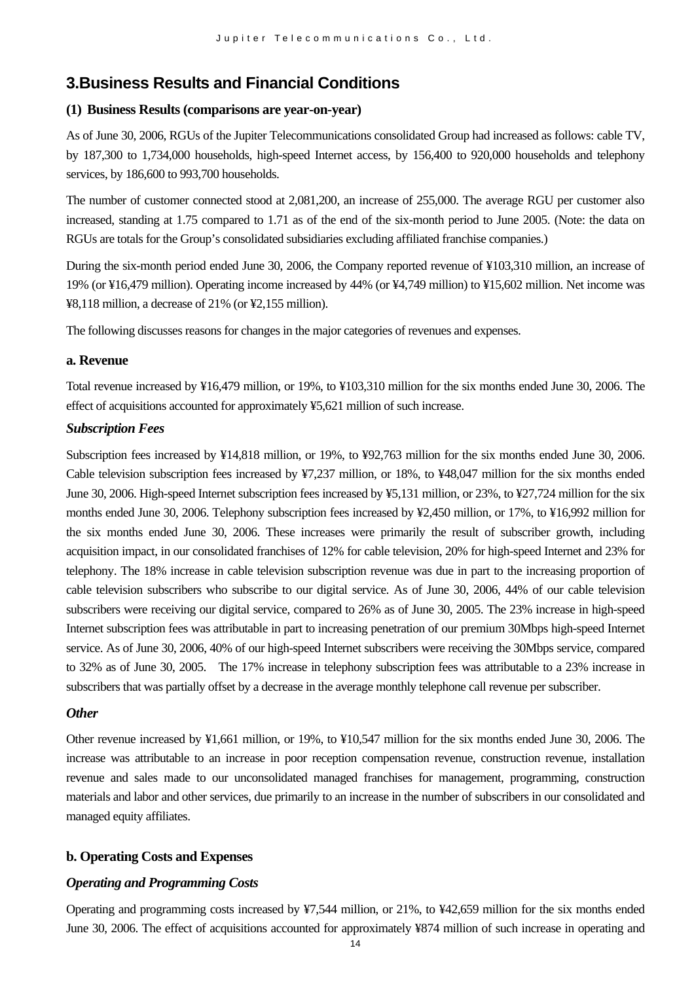# **3.Business Results and Financial Conditions**

#### **(1) Business Results (comparisons are year-on-year)**

As of June 30, 2006, RGUs of the Jupiter Telecommunications consolidated Group had increased as follows: cable TV, by 187,300 to 1,734,000 households, high-speed Internet access, by 156,400 to 920,000 households and telephony services, by 186,600 to 993,700 households.

The number of customer connected stood at 2,081,200, an increase of 255,000. The average RGU per customer also increased, standing at 1.75 compared to 1.71 as of the end of the six-month period to June 2005. (Note: the data on RGUs are totals for the Group's consolidated subsidiaries excluding affiliated franchise companies.)

During the six-month period ended June 30, 2006, the Company reported revenue of ¥103,310 million, an increase of 19% (or ¥16,479 million). Operating income increased by 44% (or ¥4,749 million) to ¥15,602 million. Net income was ¥8,118 million, a decrease of 21% (or ¥2,155 million).

The following discusses reasons for changes in the major categories of revenues and expenses.

#### **a. Revenue**

Total revenue increased by ¥16,479 million, or 19%, to ¥103,310 million for the six months ended June 30, 2006. The effect of acquisitions accounted for approximately ¥5,621 million of such increase.

#### *Subscription Fees*

Subscription fees increased by ¥14,818 million, or 19%, to ¥92,763 million for the six months ended June 30, 2006. Cable television subscription fees increased by ¥7,237 million, or 18%, to ¥48,047 million for the six months ended June 30, 2006. High-speed Internet subscription fees increased by ¥5,131 million, or 23%, to ¥27,724 million for the six months ended June 30, 2006. Telephony subscription fees increased by ¥2,450 million, or 17%, to ¥16,992 million for the six months ended June 30, 2006. These increases were primarily the result of subscriber growth, including acquisition impact, in our consolidated franchises of 12% for cable television, 20% for high-speed Internet and 23% for telephony. The 18% increase in cable television subscription revenue was due in part to the increasing proportion of cable television subscribers who subscribe to our digital service. As of June 30, 2006, 44% of our cable television subscribers were receiving our digital service, compared to 26% as of June 30, 2005. The 23% increase in high-speed Internet subscription fees was attributable in part to increasing penetration of our premium 30Mbps high-speed Internet service. As of June 30, 2006, 40% of our high-speed Internet subscribers were receiving the 30Mbps service, compared to 32% as of June 30, 2005. The 17% increase in telephony subscription fees was attributable to a 23% increase in subscribers that was partially offset by a decrease in the average monthly telephone call revenue per subscriber.

#### *Other*

Other revenue increased by ¥1,661 million, or 19%, to ¥10,547 million for the six months ended June 30, 2006. The increase was attributable to an increase in poor reception compensation revenue, construction revenue, installation revenue and sales made to our unconsolidated managed franchises for management, programming, construction materials and labor and other services, due primarily to an increase in the number of subscribers in our consolidated and managed equity affiliates.

#### **b. Operating Costs and Expenses**

#### *Operating and Programming Costs*

Operating and programming costs increased by ¥7,544 million, or 21%, to ¥42,659 million for the six months ended June 30, 2006. The effect of acquisitions accounted for approximately ¥874 million of such increase in operating and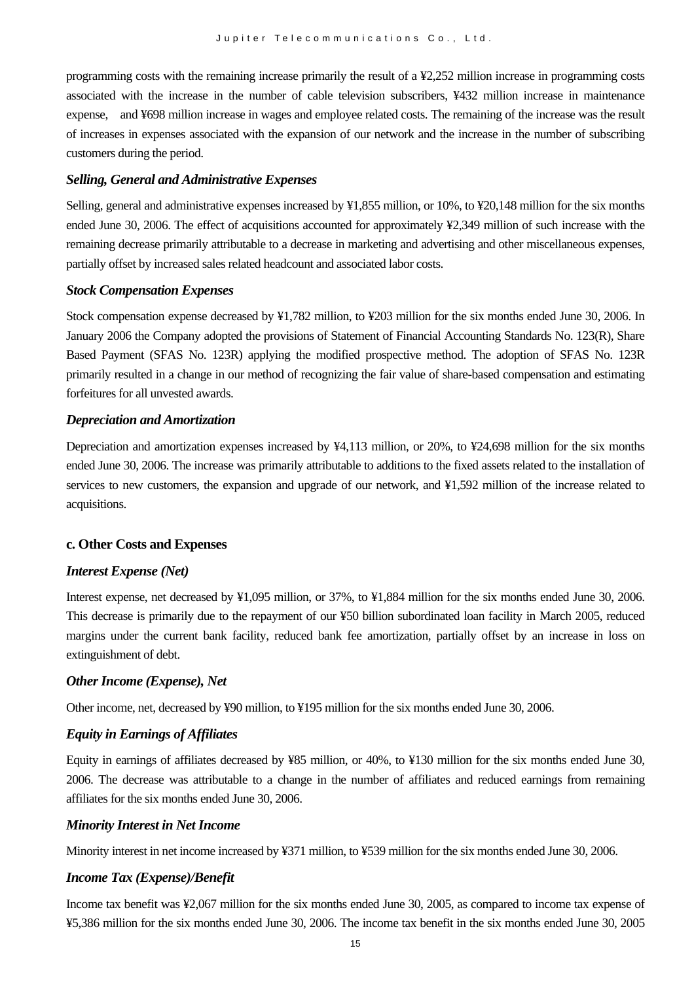programming costs with the remaining increase primarily the result of a ¥2,252 million increase in programming costs associated with the increase in the number of cable television subscribers, ¥432 million increase in maintenance expense, and ¥698 million increase in wages and employee related costs. The remaining of the increase was the result of increases in expenses associated with the expansion of our network and the increase in the number of subscribing customers during the period.

#### *Selling, General and Administrative Expenses*

Selling, general and administrative expenses increased by ¥1,855 million, or 10%, to ¥20,148 million for the six months ended June 30, 2006. The effect of acquisitions accounted for approximately ¥2,349 million of such increase with the remaining decrease primarily attributable to a decrease in marketing and advertising and other miscellaneous expenses, partially offset by increased sales related headcount and associated labor costs.

#### *Stock Compensation Expenses*

Stock compensation expense decreased by ¥1,782 million, to ¥203 million for the six months ended June 30, 2006. In January 2006 the Company adopted the provisions of Statement of Financial Accounting Standards No. 123(R), Share Based Payment (SFAS No. 123R) applying the modified prospective method. The adoption of SFAS No. 123R primarily resulted in a change in our method of recognizing the fair value of share-based compensation and estimating forfeitures for all unvested awards.

#### *Depreciation and Amortization*

Depreciation and amortization expenses increased by ¥4,113 million, or 20%, to ¥24,698 million for the six months ended June 30, 2006. The increase was primarily attributable to additions to the fixed assets related to the installation of services to new customers, the expansion and upgrade of our network, and ¥1,592 million of the increase related to acquisitions.

#### **c. Other Costs and Expenses**

#### *Interest Expense (Net)*

Interest expense, net decreased by ¥1,095 million, or 37%, to ¥1,884 million for the six months ended June 30, 2006. This decrease is primarily due to the repayment of our ¥50 billion subordinated loan facility in March 2005, reduced margins under the current bank facility, reduced bank fee amortization, partially offset by an increase in loss on extinguishment of debt.

#### *Other Income (Expense), Net*

Other income, net, decreased by ¥90 million, to ¥195 million for the six months ended June 30, 2006.

#### *Equity in Earnings of Affiliates*

Equity in earnings of affiliates decreased by ¥85 million, or 40%, to ¥130 million for the six months ended June 30, 2006. The decrease was attributable to a change in the number of affiliates and reduced earnings from remaining affiliates for the six months ended June 30, 2006.

#### *Minority Interest in Net Income*

Minority interest in net income increased by ¥371 million, to ¥539 million for the six months ended June 30, 2006.

#### *Income Tax (Expense)/Benefit*

Income tax benefit was ¥2,067 million for the six months ended June 30, 2005, as compared to income tax expense of ¥5,386 million for the six months ended June 30, 2006. The income tax benefit in the six months ended June 30, 2005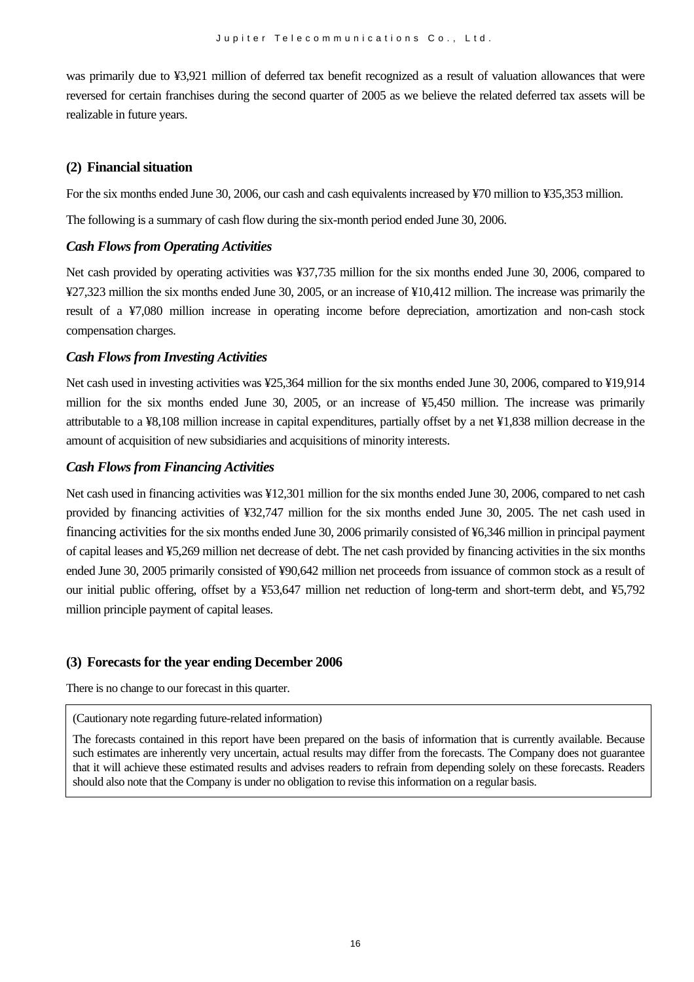was primarily due to ¥3,921 million of deferred tax benefit recognized as a result of valuation allowances that were reversed for certain franchises during the second quarter of 2005 as we believe the related deferred tax assets will be realizable in future years.

#### **(2) Financial situation**

For the six months ended June 30, 2006, our cash and cash equivalents increased by ¥70 million to ¥35,353 million.

The following is a summary of cash flow during the six-month period ended June 30, 2006.

#### *Cash Flows from Operating Activities*

Net cash provided by operating activities was ¥37,735 million for the six months ended June 30, 2006, compared to ¥27,323 million the six months ended June 30, 2005, or an increase of ¥10,412 million. The increase was primarily the result of a ¥7,080 million increase in operating income before depreciation, amortization and non-cash stock compensation charges.

#### *Cash Flows from Investing Activities*

Net cash used in investing activities was ¥25,364 million for the six months ended June 30, 2006, compared to ¥19,914 million for the six months ended June 30, 2005, or an increase of ¥5,450 million. The increase was primarily attributable to a ¥8,108 million increase in capital expenditures, partially offset by a net ¥1,838 million decrease in the amount of acquisition of new subsidiaries and acquisitions of minority interests.

#### *Cash Flows from Financing Activities*

Net cash used in financing activities was ¥12,301 million for the six months ended June 30, 2006, compared to net cash provided by financing activities of ¥32,747 million for the six months ended June 30, 2005. The net cash used in financing activities for the six months ended June 30, 2006 primarily consisted of ¥6,346 million in principal payment of capital leases and ¥5,269 million net decrease of debt. The net cash provided by financing activities in the six months ended June 30, 2005 primarily consisted of ¥90,642 million net proceeds from issuance of common stock as a result of our initial public offering, offset by a ¥53,647 million net reduction of long-term and short-term debt, and ¥5,792 million principle payment of capital leases.

### **(3) Forecasts for the year ending December 2006**

There is no change to our forecast in this quarter.

(Cautionary note regarding future-related information)

The forecasts contained in this report have been prepared on the basis of information that is currently available. Because such estimates are inherently very uncertain, actual results may differ from the forecasts. The Company does not guarantee that it will achieve these estimated results and advises readers to refrain from depending solely on these forecasts. Readers should also note that the Company is under no obligation to revise this information on a regular basis.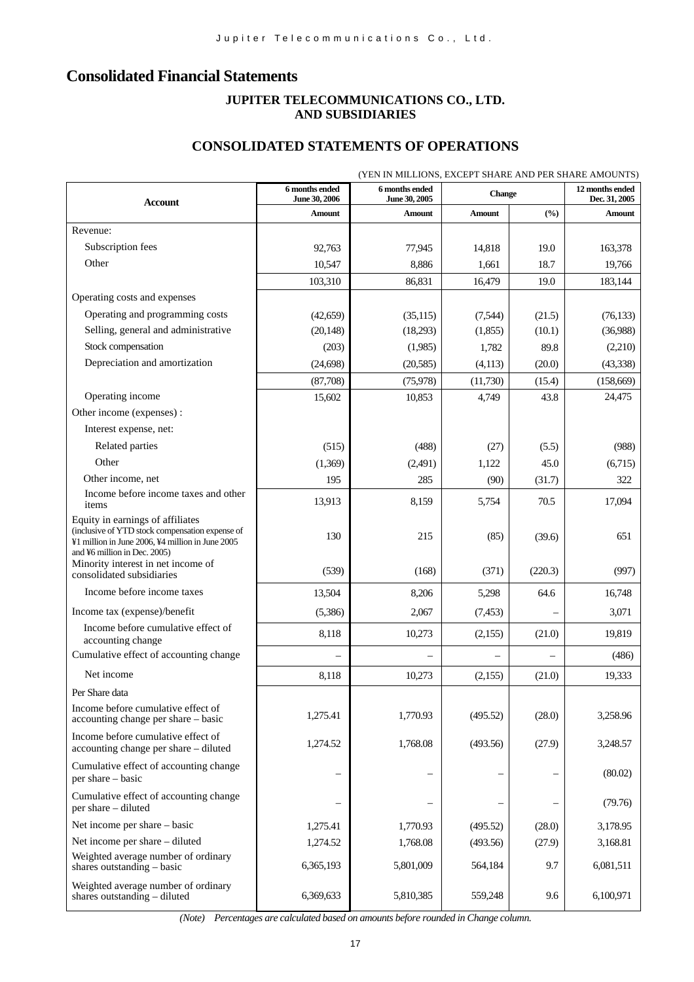# **Consolidated Financial Statements**

### **JUPITER TELECOMMUNICATIONS CO., LTD. AND SUBSIDIARIES**

### **CONSOLIDATED STATEMENTS OF OPERATIONS**

| (YEN IN MILLIONS, EXCEPT SHARE AND PER SHARE AMOUNTS)<br>6 months ended<br>6 months ended                                                                               |               |               |               |         |                                  |  |
|-------------------------------------------------------------------------------------------------------------------------------------------------------------------------|---------------|---------------|---------------|---------|----------------------------------|--|
| <b>Account</b>                                                                                                                                                          | June 30, 2006 | June 30, 2005 | <b>Change</b> |         | 12 months ended<br>Dec. 31, 2005 |  |
|                                                                                                                                                                         | <b>Amount</b> | Amount        | Amount        | (%)     | Amount                           |  |
| Revenue:                                                                                                                                                                |               |               |               |         |                                  |  |
| Subscription fees                                                                                                                                                       | 92,763        | 77,945        | 14,818        | 19.0    | 163,378                          |  |
| Other                                                                                                                                                                   | 10,547        | 8,886         | 1,661         | 18.7    | 19,766                           |  |
|                                                                                                                                                                         | 103,310       | 86,831        | 16,479        | 19.0    | 183,144                          |  |
| Operating costs and expenses                                                                                                                                            |               |               |               |         |                                  |  |
| Operating and programming costs                                                                                                                                         | (42, 659)     | (35, 115)     | (7,544)       | (21.5)  | (76, 133)                        |  |
| Selling, general and administrative                                                                                                                                     | (20, 148)     | (18,293)      | (1,855)       | (10.1)  | (36,988)                         |  |
| Stock compensation                                                                                                                                                      | (203)         | (1,985)       | 1,782         | 89.8    | (2,210)                          |  |
| Depreciation and amortization                                                                                                                                           | (24, 698)     | (20, 585)     | (4, 113)      | (20.0)  | (43, 338)                        |  |
|                                                                                                                                                                         | (87,708)      | (75, 978)     | (11,730)      | (15.4)  | (158, 669)                       |  |
| Operating income                                                                                                                                                        | 15,602        | 10,853        | 4,749         | 43.8    | 24,475                           |  |
| Other income (expenses):                                                                                                                                                |               |               |               |         |                                  |  |
| Interest expense, net:                                                                                                                                                  |               |               |               |         |                                  |  |
| Related parties                                                                                                                                                         | (515)         | (488)         | (27)          | (5.5)   | (988)                            |  |
| Other                                                                                                                                                                   | (1,369)       | (2,491)       | 1,122         | 45.0    | (6,715)                          |  |
| Other income, net                                                                                                                                                       | 195           | 285           | (90)          | (31.7)  | 322                              |  |
| Income before income taxes and other<br>items                                                                                                                           | 13,913        | 8,159         | 5,754         | 70.5    | 17,094                           |  |
| Equity in earnings of affiliates<br>(inclusive of YTD stock compensation expense of<br>¥1 million in June 2006, ¥4 million in June 2005<br>and ¥6 million in Dec. 2005) | 130           | 215           | (85)          | (39.6)  | 651                              |  |
| Minority interest in net income of<br>consolidated subsidiaries                                                                                                         | (539)         | (168)         | (371)         | (220.3) | (997)                            |  |
| Income before income taxes                                                                                                                                              | 13,504        | 8,206         | 5,298         | 64.6    | 16,748                           |  |
| Income tax (expense)/benefit                                                                                                                                            | (5,386)       | 2,067         | (7, 453)      |         | 3,071                            |  |
| Income before cumulative effect of<br>accounting change                                                                                                                 | 8,118         | 10,273        | (2,155)       | (21.0)  | 19,819                           |  |
| Cumulative effect of accounting change                                                                                                                                  |               |               |               |         | (486)                            |  |
| Net income                                                                                                                                                              | 8,118         | 10,273        | (2,155)       | (21.0)  | 19,333                           |  |
| Per Share data                                                                                                                                                          |               |               |               |         |                                  |  |
| Income before cumulative effect of<br>accounting change per share - basic                                                                                               | 1,275.41      | 1,770.93      | (495.52)      | (28.0)  | 3,258.96                         |  |
| Income before cumulative effect of<br>accounting change per share - diluted                                                                                             | 1,274.52      | 1,768.08      | (493.56)      | (27.9)  | 3,248.57                         |  |
| Cumulative effect of accounting change<br>per share – basic                                                                                                             |               |               |               |         | (80.02)                          |  |
| Cumulative effect of accounting change<br>per share - diluted                                                                                                           |               |               |               |         | (79.76)                          |  |
| Net income per share – basic                                                                                                                                            | 1,275.41      | 1,770.93      | (495.52)      | (28.0)  | 3,178.95                         |  |
| Net income per share – diluted                                                                                                                                          | 1,274.52      | 1,768.08      | (493.56)      | (27.9)  | 3,168.81                         |  |
| Weighted average number of ordinary<br>shares outstanding - basic                                                                                                       | 6,365,193     | 5,801,009     | 564,184       | 9.7     | 6,081,511                        |  |
| Weighted average number of ordinary<br>shares outstanding - diluted                                                                                                     | 6,369,633     | 5,810,385     | 559,248       | 9.6     | 6,100,971                        |  |

*(Note) Percentages are calculated based on amounts before rounded in Change column.*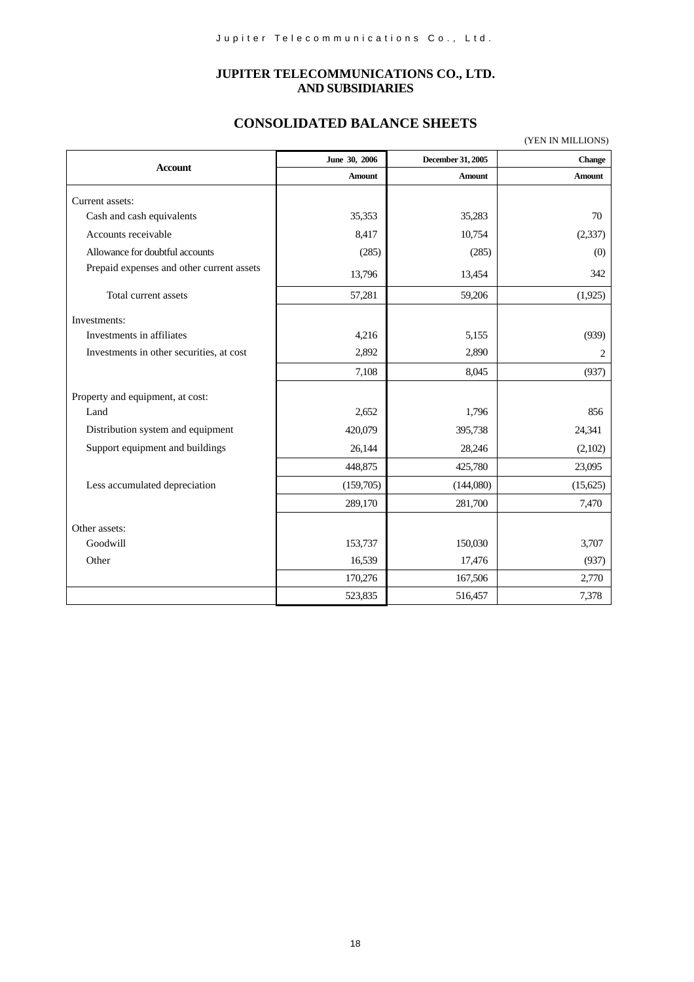#### **JUPITER TELECOMMUNICATIONS CO., LTD. AND SUBSIDIARIES**

# **CONSOLIDATED BALANCE SHEETS**

|                                           |               |                   | (YEN IN MILLIONS) |
|-------------------------------------------|---------------|-------------------|-------------------|
| <b>Account</b>                            | June 30, 2006 | December 31, 2005 | <b>Change</b>     |
|                                           | Amount        | Amount            | Amount            |
| Current assets:                           |               |                   |                   |
| Cash and cash equivalents                 | 35,353        | 35,283            | 70                |
| Accounts receivable                       | 8,417         | 10,754            | (2, 337)          |
| Allowance for doubtful accounts           | (285)         | (285)             | (0)               |
| Prepaid expenses and other current assets | 13,796        | 13,454            | 342               |
| Total current assets                      | 57,281        | 59,206            | (1,925)           |
| Investments:                              |               |                   |                   |
| Investments in affiliates                 | 4,216         | 5,155             | (939)             |
| Investments in other securities, at cost  | 2,892         | 2,890             | 2                 |
|                                           | 7,108         | 8,045             | (937)             |
| Property and equipment, at cost:          |               |                   |                   |
| Land                                      | 2,652         | 1,796             | 856               |
| Distribution system and equipment         | 420,079       | 395,738           | 24,341            |
| Support equipment and buildings           | 26,144        | 28,246            | (2,102)           |
|                                           | 448,875       | 425,780           | 23,095            |
| Less accumulated depreciation             | (159,705)     | (144,080)         | (15,625)          |
|                                           | 289,170       | 281,700           | 7,470             |
| Other assets:                             |               |                   |                   |
| Goodwill                                  | 153,737       | 150,030           | 3,707             |
| Other                                     | 16,539        | 17,476            | (937)             |
|                                           | 170,276       | 167,506           | 2,770             |
|                                           | 523,835       | 516,457           | 7,378             |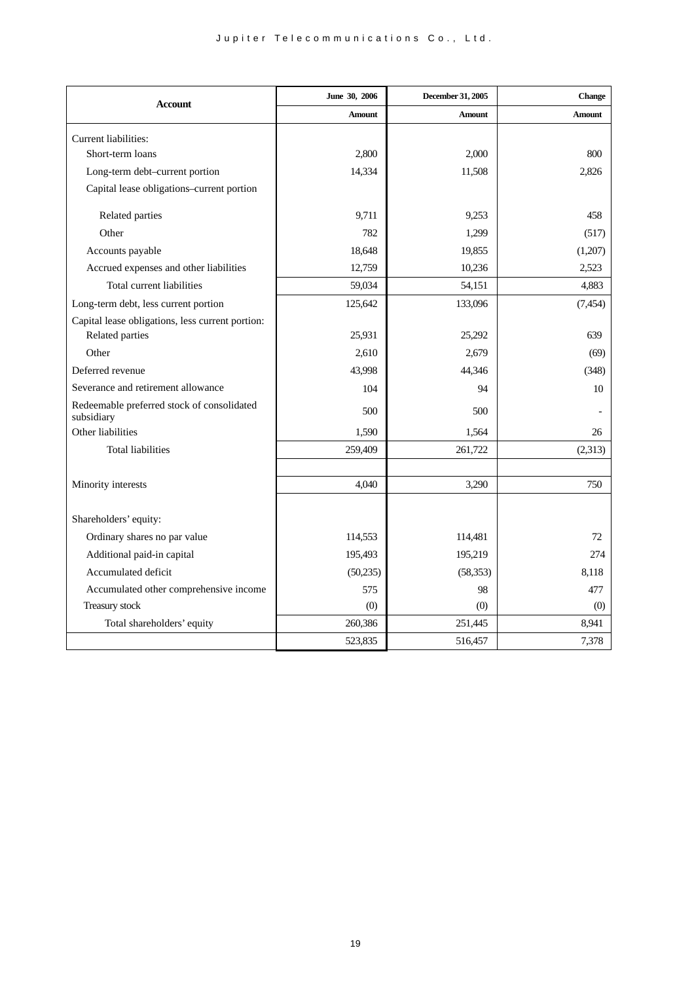| <b>Account</b>                                           | June 30, 2006 | December 31, 2005 | <b>Change</b> |
|----------------------------------------------------------|---------------|-------------------|---------------|
|                                                          | <b>Amount</b> | <b>Amount</b>     | <b>Amount</b> |
| Current liabilities:                                     |               |                   |               |
| Short-term loans                                         | 2,800         | 2.000             | 800           |
| Long-term debt-current portion                           | 14,334        | 11,508            | 2,826         |
| Capital lease obligations-current portion                |               |                   |               |
| Related parties                                          | 9,711         | 9,253             | 458           |
| Other                                                    | 782           | 1,299             | (517)         |
|                                                          | 18,648        | 19,855            | (1,207)       |
| Accounts payable                                         |               |                   | 2,523         |
| Accrued expenses and other liabilities                   | 12,759        | 10,236            |               |
| Total current liabilities                                | 59,034        | 54,151            | 4,883         |
| Long-term debt, less current portion                     | 125,642       | 133,096           | (7, 454)      |
| Capital lease obligations, less current portion:         |               |                   |               |
| Related parties                                          | 25,931        | 25,292            | 639           |
| Other                                                    | 2,610         | 2,679             | (69)          |
| Deferred revenue                                         | 43,998        | 44,346            | (348)         |
| Severance and retirement allowance                       | 104           | 94                | 10            |
| Redeemable preferred stock of consolidated<br>subsidiary | 500           | 500               |               |
| Other liabilities                                        | 1,590         | 1,564             | 26            |
| <b>Total liabilities</b>                                 | 259,409       | 261,722           | (2,313)       |
|                                                          |               |                   |               |
| Minority interests                                       | 4.040         | 3,290             | 750           |
|                                                          |               |                   |               |
| Shareholders' equity:                                    |               |                   |               |
| Ordinary shares no par value                             | 114,553       | 114,481           | 72            |
| Additional paid-in capital                               | 195,493       | 195,219           | 274           |
| Accumulated deficit                                      | (50, 235)     | (58, 353)         | 8.118         |
| Accumulated other comprehensive income                   | 575           | 98                | 477           |
| Treasury stock                                           | (0)           | (0)               | (0)           |
| Total shareholders' equity                               | 260,386       | 251,445           | 8,941         |
|                                                          | 523,835       | 516,457           | 7,378         |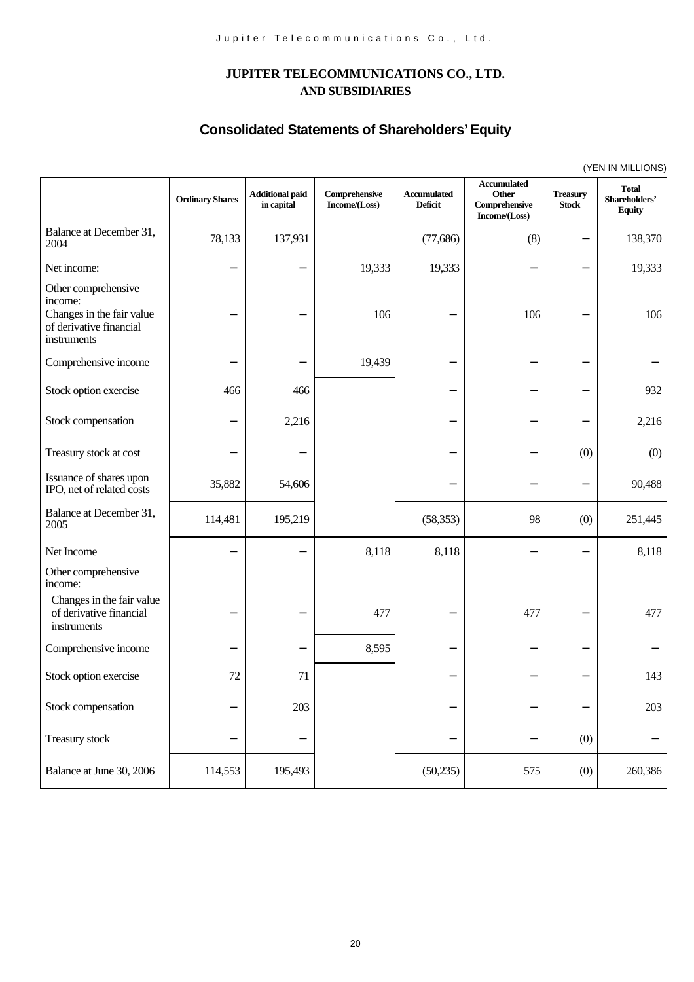# **JUPITER TELECOMMUNICATIONS CO., LTD. AND SUBSIDIARIES**

# **Consolidated Statements of Shareholders' Equity**

|                                                                                                       |                        |                                      |                                |                                      |                                                                                           |                                 | $(1 - 1)$                                      |
|-------------------------------------------------------------------------------------------------------|------------------------|--------------------------------------|--------------------------------|--------------------------------------|-------------------------------------------------------------------------------------------|---------------------------------|------------------------------------------------|
|                                                                                                       | <b>Ordinary Shares</b> | <b>Additional paid</b><br>in capital | Comprehensive<br>Income/(Loss) | <b>Accumulated</b><br><b>Deficit</b> | <b>Accumulated</b><br>Other<br>$\label{eq:compreshensive} Comprehensive$<br>Income/(Loss) | <b>Treasury</b><br><b>Stock</b> | <b>Total</b><br>Shareholders'<br><b>Equity</b> |
| Balance at December 31,<br>2004                                                                       | 78,133                 | 137,931                              |                                | (77, 686)                            | (8)                                                                                       |                                 | 138,370                                        |
| Net income:                                                                                           |                        |                                      | 19,333                         | 19,333                               |                                                                                           |                                 | 19,333                                         |
| Other comprehensive<br>income:<br>Changes in the fair value<br>of derivative financial<br>instruments |                        |                                      | 106                            |                                      | 106                                                                                       |                                 | 106                                            |
| Comprehensive income                                                                                  |                        |                                      | 19,439                         |                                      |                                                                                           |                                 |                                                |
| Stock option exercise                                                                                 | 466                    | 466                                  |                                |                                      |                                                                                           |                                 | 932                                            |
| Stock compensation                                                                                    |                        | 2,216                                |                                |                                      |                                                                                           |                                 | 2,216                                          |
| Treasury stock at cost                                                                                |                        |                                      |                                |                                      |                                                                                           | (0)                             | (0)                                            |
| Issuance of shares upon<br>IPO, net of related costs                                                  | 35,882                 | 54,606                               |                                |                                      |                                                                                           |                                 | 90,488                                         |
| Balance at December 31,<br>2005                                                                       | 114,481                | 195,219                              |                                | (58, 353)                            | 98                                                                                        | (0)                             | 251,445                                        |
| Net Income                                                                                            |                        |                                      | 8,118                          | 8,118                                |                                                                                           |                                 | 8,118                                          |
| Other comprehensive<br>income:                                                                        |                        |                                      |                                |                                      |                                                                                           |                                 |                                                |
| Changes in the fair value<br>of derivative financial<br>instruments                                   |                        |                                      | 477                            |                                      | 477                                                                                       |                                 | 477                                            |
| Comprehensive income                                                                                  |                        |                                      | 8,595                          |                                      |                                                                                           |                                 |                                                |
| Stock option exercise                                                                                 | 72                     | 71                                   |                                |                                      |                                                                                           |                                 | 143                                            |
| Stock compensation                                                                                    |                        | 203                                  |                                |                                      |                                                                                           |                                 | 203                                            |
| Treasury stock                                                                                        |                        |                                      |                                |                                      |                                                                                           | (0)                             |                                                |
| Balance at June 30, 2006                                                                              | 114,553                | 195,493                              |                                | (50, 235)                            | 575                                                                                       | (0)                             | 260,386                                        |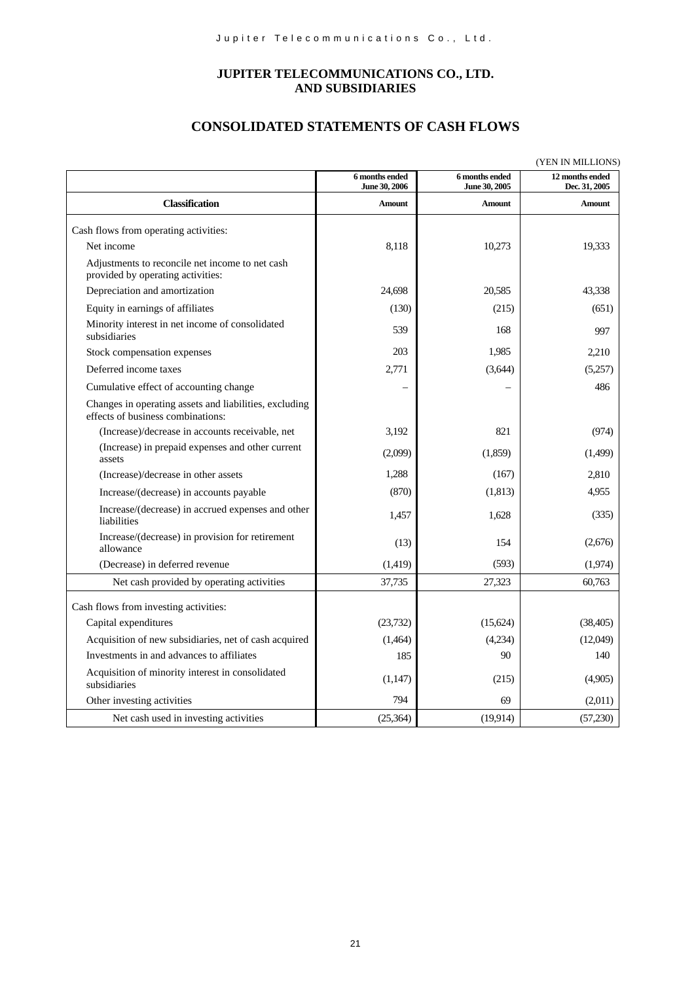### **JUPITER TELECOMMUNICATIONS CO., LTD. AND SUBSIDIARIES**

### **CONSOLIDATED STATEMENTS OF CASH FLOWS**

| (YEN IN MILLIONS)                                                                           |                                 |                                 |                                  |  |  |
|---------------------------------------------------------------------------------------------|---------------------------------|---------------------------------|----------------------------------|--|--|
|                                                                                             | 6 months ended<br>June 30, 2006 | 6 months ended<br>June 30, 2005 | 12 months ended<br>Dec. 31, 2005 |  |  |
| <b>Classification</b>                                                                       | Amount                          | Amount                          | <b>Amount</b>                    |  |  |
| Cash flows from operating activities:                                                       |                                 |                                 |                                  |  |  |
| Net income                                                                                  | 8.118                           | 10,273                          | 19,333                           |  |  |
| Adjustments to reconcile net income to net cash<br>provided by operating activities:        |                                 |                                 |                                  |  |  |
| Depreciation and amortization                                                               | 24,698                          | 20,585                          | 43,338                           |  |  |
| Equity in earnings of affiliates                                                            | (130)                           | (215)                           | (651)                            |  |  |
| Minority interest in net income of consolidated<br>subsidiaries                             | 539                             | 168                             | 997                              |  |  |
| Stock compensation expenses                                                                 | 203                             | 1,985                           | 2,210                            |  |  |
| Deferred income taxes                                                                       | 2,771                           | (3,644)                         | (5,257)                          |  |  |
| Cumulative effect of accounting change                                                      |                                 |                                 | 486                              |  |  |
| Changes in operating assets and liabilities, excluding<br>effects of business combinations: |                                 |                                 |                                  |  |  |
| (Increase)/decrease in accounts receivable, net                                             | 3,192                           | 821                             | (974)                            |  |  |
| (Increase) in prepaid expenses and other current<br>assets                                  | (2,099)                         | (1,859)                         | (1,499)                          |  |  |
| (Increase)/decrease in other assets                                                         | 1,288                           | (167)                           | 2,810                            |  |  |
| Increase/(decrease) in accounts payable                                                     | (870)                           | (1, 813)                        | 4,955                            |  |  |
| Increase/(decrease) in accrued expenses and other<br>liabilities                            | 1,457                           | 1,628                           | (335)                            |  |  |
| Increase/(decrease) in provision for retirement<br>allowance                                | (13)                            | 154                             | (2,676)                          |  |  |
| (Decrease) in deferred revenue                                                              | (1, 419)                        | (593)                           | (1,974)                          |  |  |
| Net cash provided by operating activities                                                   | 37,735                          | 27,323                          | 60,763                           |  |  |
| Cash flows from investing activities:                                                       |                                 |                                 |                                  |  |  |
| Capital expenditures                                                                        | (23, 732)                       | (15,624)                        | (38, 405)                        |  |  |
| Acquisition of new subsidiaries, net of cash acquired                                       | (1,464)                         | (4,234)                         | (12,049)                         |  |  |
| Investments in and advances to affiliates                                                   | 185                             | 90                              | 140                              |  |  |
| Acquisition of minority interest in consolidated<br>subsidiaries                            | (1,147)                         | (215)                           | (4,905)                          |  |  |
| Other investing activities                                                                  | 794                             | 69                              | (2,011)                          |  |  |
| Net cash used in investing activities                                                       | (25, 364)                       | (19,914)                        | (57,230)                         |  |  |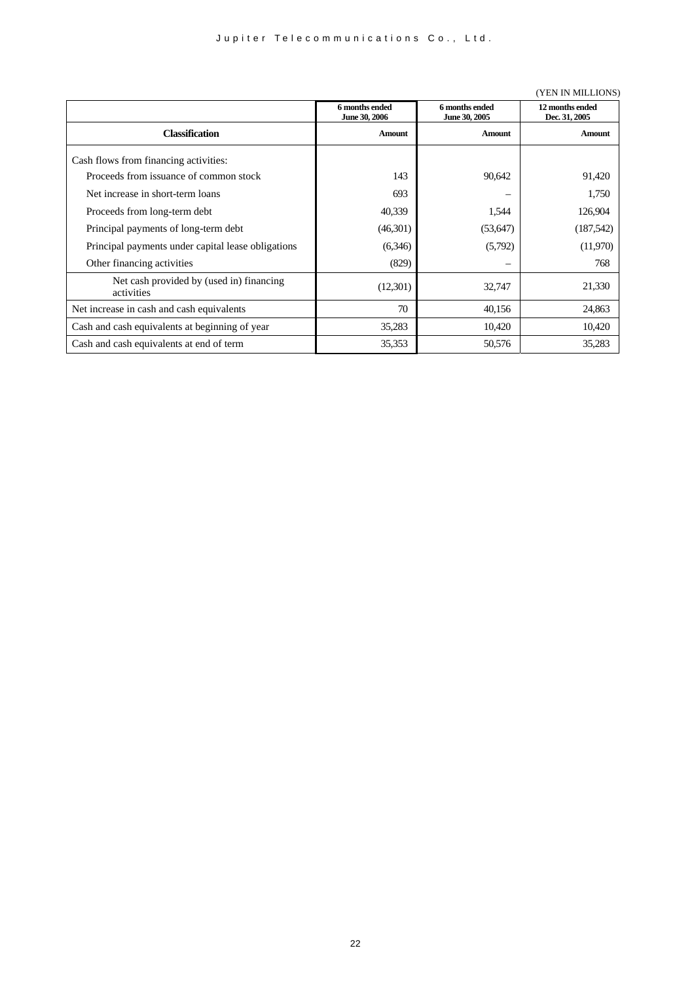#### (YEN IN MILLIONS)

|                                                        | 6 months ended<br>June 30, 2006 | 6 months ended<br>June 30, 2005 | 12 months ended<br>Dec. 31, 2005 |
|--------------------------------------------------------|---------------------------------|---------------------------------|----------------------------------|
| <b>Classification</b>                                  | <b>Amount</b>                   | Amount                          | Amount                           |
| Cash flows from financing activities:                  |                                 |                                 |                                  |
| Proceeds from issuance of common stock                 | 143                             | 90,642                          | 91,420                           |
| Net increase in short-term loans                       | 693                             |                                 | 1,750                            |
| Proceeds from long-term debt                           | 40,339                          | 1,544                           | 126,904                          |
| Principal payments of long-term debt                   | (46,301)                        | (53, 647)                       | (187, 542)                       |
| Principal payments under capital lease obligations     | (6,346)                         | (5,792)                         | (11,970)                         |
| Other financing activities                             | (829)                           | –                               | 768                              |
| Net cash provided by (used in) financing<br>activities | (12,301)                        | 32,747                          | 21,330                           |
| Net increase in cash and cash equivalents              | 70                              | 40,156                          | 24,863                           |
| Cash and cash equivalents at beginning of year         | 35,283                          | 10,420                          | 10,420                           |
| Cash and cash equivalents at end of term               | 35,353                          | 50,576                          | 35,283                           |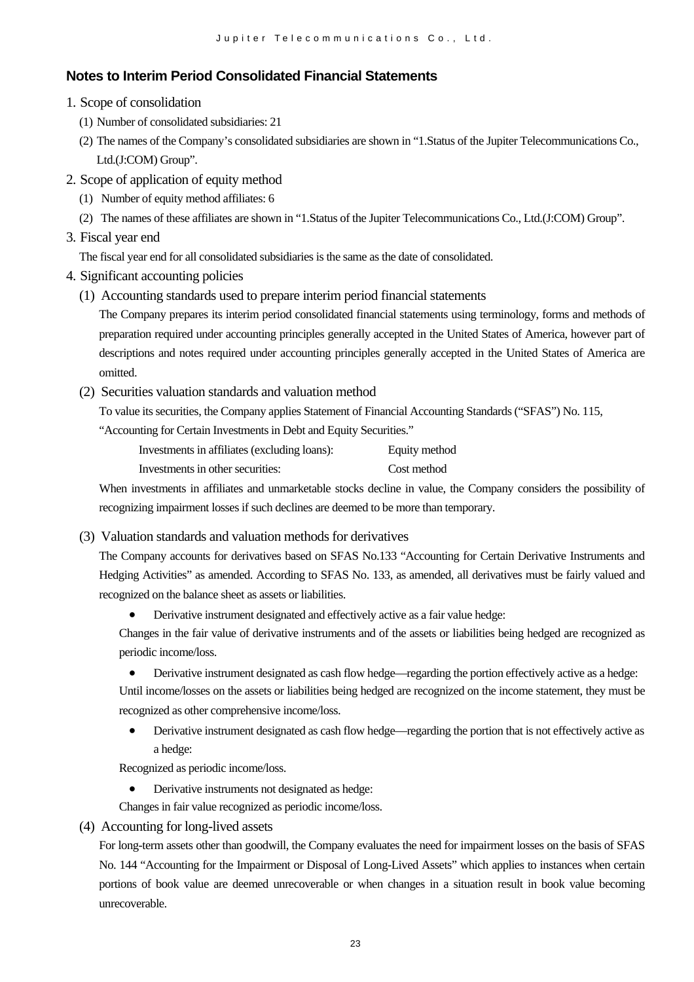# **Notes to Interim Period Consolidated Financial Statements**

- 1. Scope of consolidation
	- (1) Number of consolidated subsidiaries: 21
	- (2) The names of the Company's consolidated subsidiaries are shown in "1.Status of the Jupiter Telecommunications Co., Ltd.(J:COM) Group".
- 2. Scope of application of equity method
	- (1) Number of equity method affiliates: 6
	- (2) The names of these affiliates are shown in "1.Status of the Jupiter Telecommunications Co., Ltd.(J:COM) Group".
- 3. Fiscal year end

The fiscal year end for all consolidated subsidiaries is the same as the date of consolidated.

- 4. Significant accounting policies
	- (1) Accounting standards used to prepare interim period financial statements

The Company prepares its interim period consolidated financial statements using terminology, forms and methods of preparation required under accounting principles generally accepted in the United States of America, however part of descriptions and notes required under accounting principles generally accepted in the United States of America are omitted.

(2) Securities valuation standards and valuation method

To value its securities, the Company applies Statement of Financial Accounting Standards ("SFAS") No. 115,

"Accounting for Certain Investments in Debt and Equity Securities."

| Investments in affiliates (excluding loans): | Equity method |
|----------------------------------------------|---------------|
| Investments in other securities:             | Cost method   |

When investments in affiliates and unmarketable stocks decline in value, the Company considers the possibility of recognizing impairment losses if such declines are deemed to be more than temporary.

(3) Valuation standards and valuation methods for derivatives

The Company accounts for derivatives based on SFAS No.133 "Accounting for Certain Derivative Instruments and Hedging Activities" as amended. According to SFAS No. 133, as amended, all derivatives must be fairly valued and recognized on the balance sheet as assets or liabilities.

• Derivative instrument designated and effectively active as a fair value hedge:

Changes in the fair value of derivative instruments and of the assets or liabilities being hedged are recognized as periodic income/loss.

• Derivative instrument designated as cash flow hedge—regarding the portion effectively active as a hedge:

Until income/losses on the assets or liabilities being hedged are recognized on the income statement, they must be recognized as other comprehensive income/loss.

• Derivative instrument designated as cash flow hedge—regarding the portion that is not effectively active as a hedge:

Recognized as periodic income/loss.

Derivative instruments not designated as hedge:

Changes in fair value recognized as periodic income/loss.

(4) Accounting for long-lived assets

For long-term assets other than goodwill, the Company evaluates the need for impairment losses on the basis of SFAS No. 144 "Accounting for the Impairment or Disposal of Long-Lived Assets" which applies to instances when certain portions of book value are deemed unrecoverable or when changes in a situation result in book value becoming unrecoverable.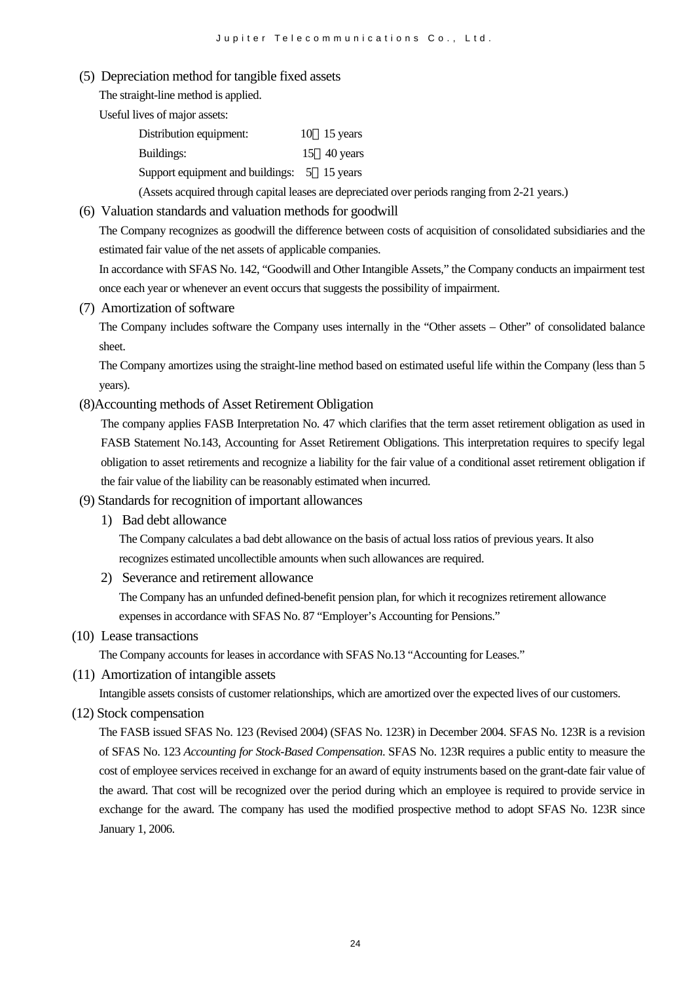(5) Depreciation method for tangible fixed assets

The straight-line method is applied.

Useful lives of major assets:

| Distribution equipment:                     | $10 \quad 15 \text{ years}$ |
|---------------------------------------------|-----------------------------|
| <b>Buildings:</b>                           | 15 $40$ years               |
| Support equipment and buildings: 5 15 years |                             |

(Assets acquired through capital leases are depreciated over periods ranging from 2-21 years.)

#### (6) Valuation standards and valuation methods for goodwill

The Company recognizes as goodwill the difference between costs of acquisition of consolidated subsidiaries and the estimated fair value of the net assets of applicable companies.

In accordance with SFAS No. 142, "Goodwill and Other Intangible Assets," the Company conducts an impairment test once each year or whenever an event occurs that suggests the possibility of impairment.

(7) Amortization of software

The Company includes software the Company uses internally in the "Other assets – Other" of consolidated balance sheet.

The Company amortizes using the straight-line method based on estimated useful life within the Company (less than 5 years).

#### (8)Accounting methods of Asset Retirement Obligation

The company applies FASB Interpretation No. 47 which clarifies that the term asset retirement obligation as used in FASB Statement No.143, Accounting for Asset Retirement Obligations. This interpretation requires to specify legal obligation to asset retirements and recognize a liability for the fair value of a conditional asset retirement obligation if the fair value of the liability can be reasonably estimated when incurred.

#### (9) Standards for recognition of important allowances

1) Bad debt allowance

The Company calculates a bad debt allowance on the basis of actual loss ratios of previous years. It also recognizes estimated uncollectible amounts when such allowances are required.

2) Severance and retirement allowance

The Company has an unfunded defined-benefit pension plan, for which it recognizes retirement allowance expenses in accordance with SFAS No. 87 "Employer's Accounting for Pensions."

(10) Lease transactions

The Company accounts for leases in accordance with SFAS No.13 "Accounting for Leases."

(11) Amortization of intangible assets

Intangible assets consists of customer relationships, which are amortized over the expected lives of our customers.

### (12) Stock compensation

The FASB issued SFAS No. 123 (Revised 2004) (SFAS No. 123R) in December 2004. SFAS No. 123R is a revision of SFAS No. 123 *Accounting for Stock-Based Compensation*. SFAS No. 123R requires a public entity to measure the cost of employee services received in exchange for an award of equity instruments based on the grant-date fair value of the award. That cost will be recognized over the period during which an employee is required to provide service in exchange for the award. The company has used the modified prospective method to adopt SFAS No. 123R since January 1, 2006.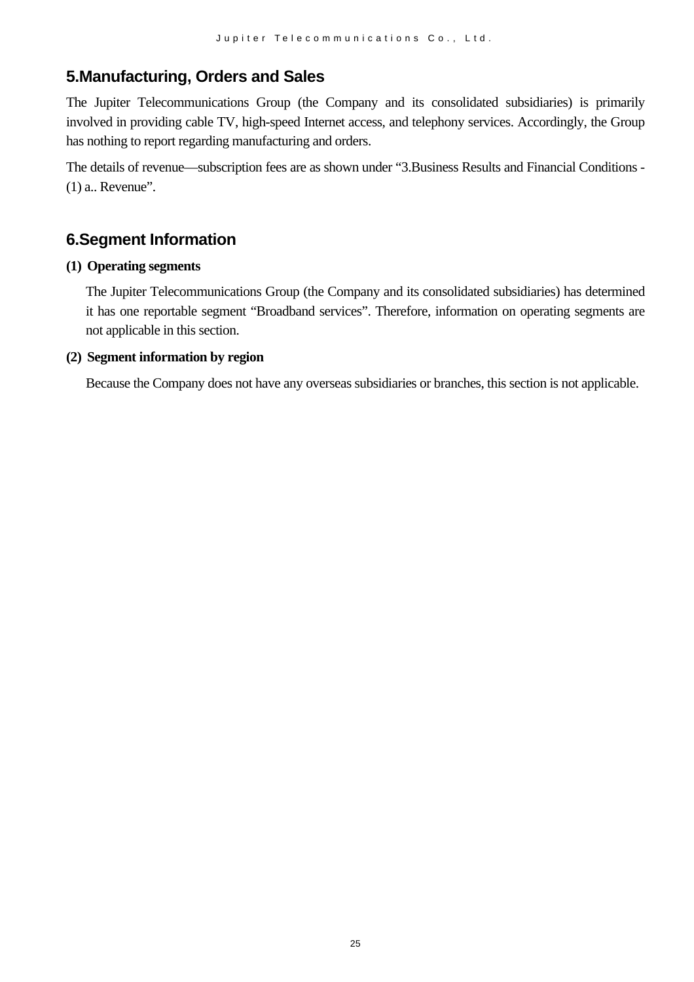# **5.Manufacturing, Orders and Sales**

The Jupiter Telecommunications Group (the Company and its consolidated subsidiaries) is primarily involved in providing cable TV, high-speed Internet access, and telephony services. Accordingly, the Group has nothing to report regarding manufacturing and orders.

The details of revenue—subscription fees are as shown under "3.Business Results and Financial Conditions - (1) a.. Revenue".

# **6.Segment Information**

### **(1) Operating segments**

The Jupiter Telecommunications Group (the Company and its consolidated subsidiaries) has determined it has one reportable segment "Broadband services". Therefore, information on operating segments are not applicable in this section.

### **(2) Segment information by region**

Because the Company does not have any overseas subsidiaries or branches, this section is not applicable.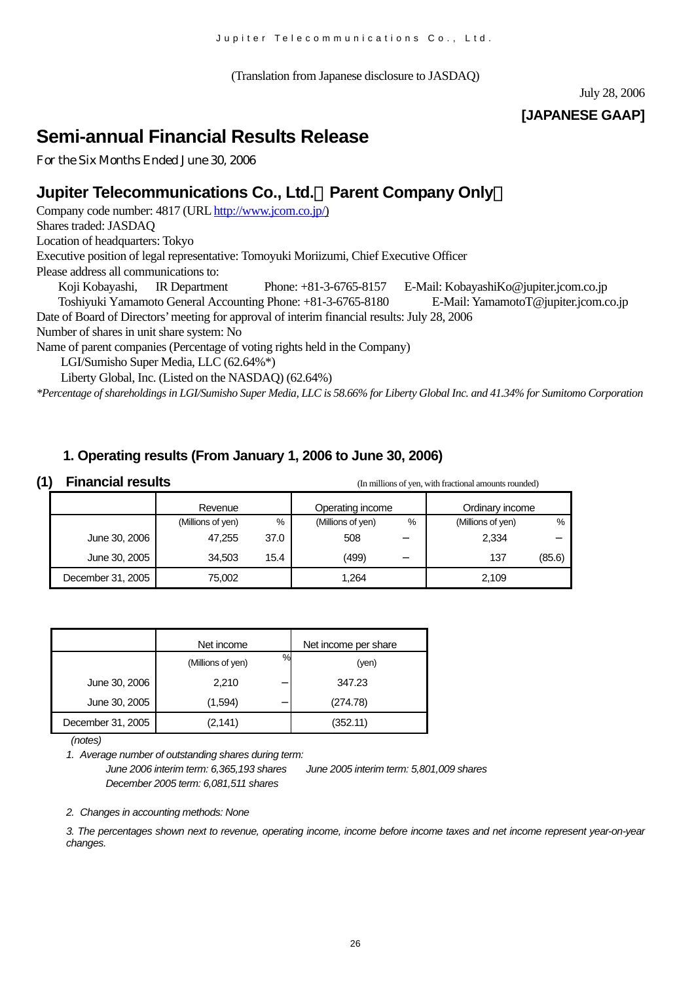(Translation from Japanese disclosure to JASDAQ)

July 28, 2006

# **[JAPANESE GAAP]**

# **Semi-annual Financial Results Release**

For the Six Months Ended June 30, 2006

# **Jupiter Telecommunications Co., Ltd.**(**Parent Company Only**)

Company code number: 4817 (URL [http://www.jcom.co.jp/\)](http://www.jcomxxxxxxxxx.co.jp/) Shares traded: JASDAQ

Location of headquarters: Tokyo

Executive position of legal representative: Tomoyuki Moriizumi, Chief Executive Officer

Please address all communications to:

Koji Kobayashi, IR Department Phone: +81-3-6765-8157 E-Mail: [KobayashiKo@jupiter.jcom.co.jp](mailto:KobayashiKo@jupiter.jcom.co.jp) Toshiyuki Yamamoto General Accounting Phone: +81-3-6765-8180 E-Mail: YamamotoT@jupiter.jcom.co.jp Date of Board of Directors'meeting for approval of interim financial results: July 28, 2006

Number of shares in unit share system: No

Name of parent companies (Percentage of voting rights held in the Company)

LGI/Sumisho Super Media, LLC (62.64%\*)

Liberty Global, Inc. (Listed on the NASDAQ) (62.64%)

*\*Percentage of shareholdings in LGI/Sumisho Super Media, LLC is 58.66% for Liberty Global Inc. and 41.34% for Sumitomo Corporation*

# **1. Operating results (From January 1, 2006 to June 30, 2006)**

| (1) | <b>Financial results</b> |                   |      | (In millions of yen, with fractional amounts rounded) |   |                   |        |  |
|-----|--------------------------|-------------------|------|-------------------------------------------------------|---|-------------------|--------|--|
|     |                          | Revenue           |      | Operating income                                      |   | Ordinary income   |        |  |
|     |                          | (Millions of yen) | %    | (Millions of yen)                                     | % | (Millions of yen) | %      |  |
|     | June 30, 2006            | 47,255            | 37.0 | 508                                                   |   | 2,334             |        |  |
|     | June 30, 2005            | 34.503            | 15.4 | (499)                                                 |   | 137               | (85.6) |  |
|     | December 31, 2005        | 75,002            |      | 1,264                                                 |   | 2,109             |        |  |

|                   | Net income                | Net income per share |
|-------------------|---------------------------|----------------------|
|                   | $\%$<br>(Millions of yen) | (yen)                |
| June 30, 2006     | 2,210                     | 347.23               |
| June 30, 2005     | (1,594)                   | (274.78)             |
| December 31, 2005 | (2,141)                   | (352.11)             |

 *(notes)*

*1. Average number of outstanding shares during term:*

*June 2006 interim term: 6,365,193 shares June 2005 interim term: 5,801,009 shares December 2005 term: 6,081,511 shares* 

*2. Changes in accounting methods: None*

*3. The percentages shown next to revenue, operating income, income before income taxes and net income represent year-on-year changes.*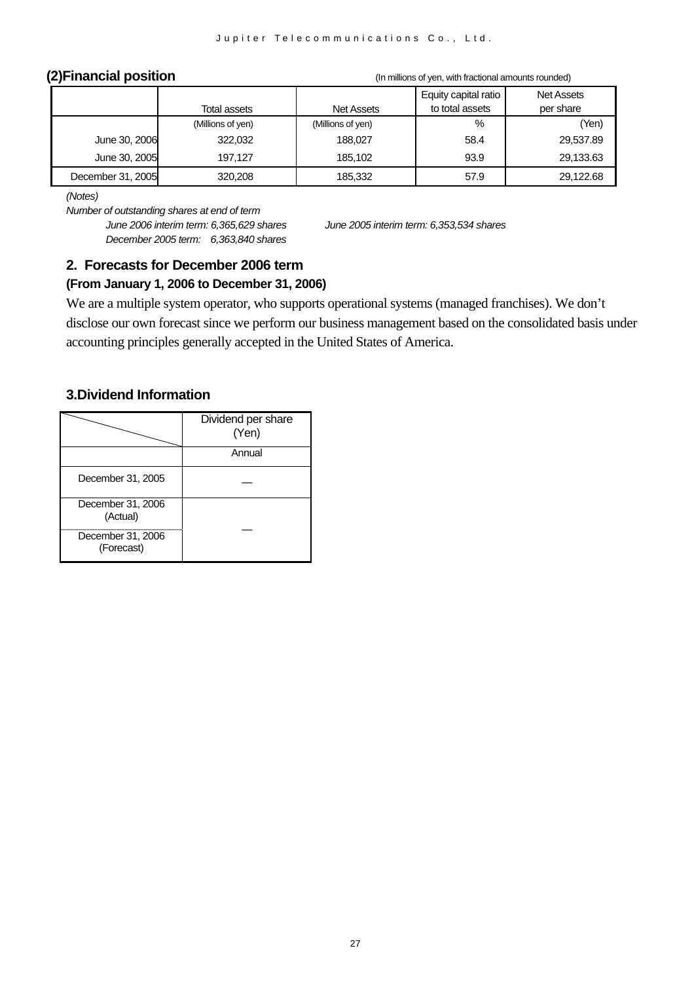**(2)Financial position** (In millions of yen, with fractional amounts rounded)

|                   |                   |                   | Equity capital ratio | <b>Net Assets</b> |
|-------------------|-------------------|-------------------|----------------------|-------------------|
|                   | Total assets      | <b>Net Assets</b> | to total assets      | per share         |
|                   | (Millions of yen) | (Millions of yen) | %                    | (Yen)             |
| June 30, 2006     | 322,032           | 188.027           | 58.4                 | 29,537.89         |
| June 30, 2005     | 197.127           | 185.102           | 93.9                 | 29,133.63         |
| December 31, 2005 | 320,208           | 185,332           | 57.9                 | 29,122.68         |

*(Notes)* 

*Number of outstanding shares at end of term*

*June 2006 interim term: 6,365,629 shares June 2005 interim term: 6,353,534 shares December 2005 term: 6,363,840 shares*

# **2. Forecasts for December 2006 term**

### **(From January 1, 2006 to December 31, 2006)**

We are a multiple system operator, who supports operational systems (managed franchises). We don't disclose our own forecast since we perform our business management based on the consolidated basis under accounting principles generally accepted in the United States of America.

### **3.Dividend Information**

|                                 | Dividend per share<br>(Yen) |
|---------------------------------|-----------------------------|
|                                 | Annual                      |
| December 31, 2005               |                             |
| December 31, 2006<br>(Actual)   |                             |
| December 31, 2006<br>(Forecast) |                             |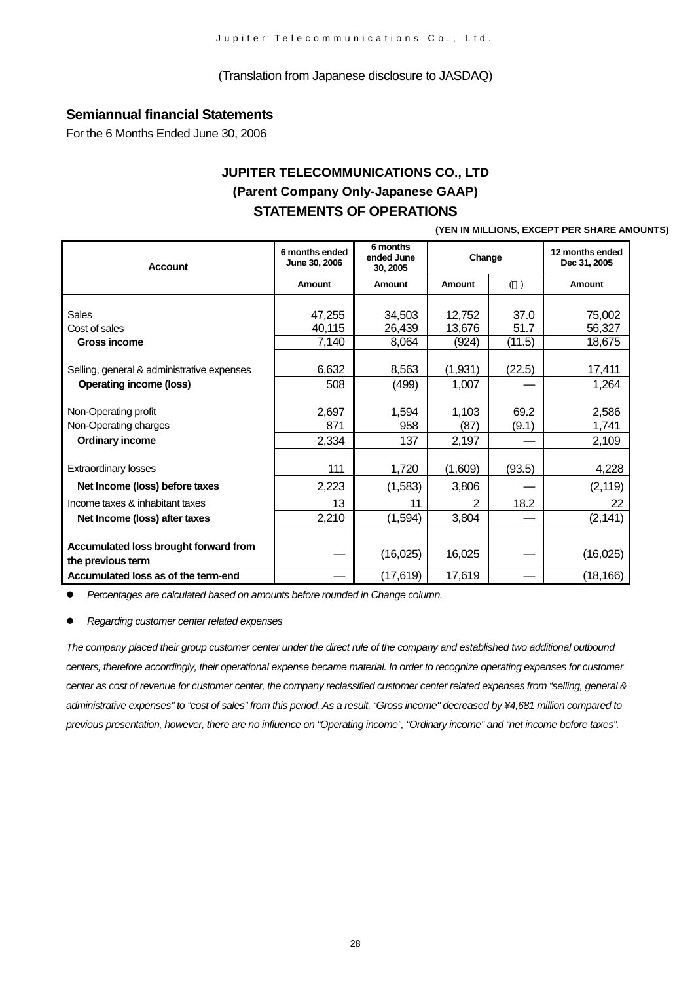#### (Translation from Japanese disclosure to JASDAQ)

### **Semiannual financial Statements**

For the 6 Months Ended June 30, 2006

# **JUPITER TELECOMMUNICATIONS CO., LTD (Parent Company Only-Japanese GAAP) STATEMENTS OF OPERATIONS**

#### **(YEN IN MILLIONS, EXCEPT PER SHARE AMOUNTS)**

| <b>Account</b>                                             | 6 months ended<br>June 30, 2006 | 6 months<br>ended June<br>30, 2005 | Change        |               | 12 months ended<br>Dec 31, 2005 |
|------------------------------------------------------------|---------------------------------|------------------------------------|---------------|---------------|---------------------------------|
|                                                            | Amount                          | Amount                             | Amount        | $($ )         | Amount                          |
| <b>Sales</b>                                               | 47,255                          | 34,503                             | 12,752        | 37.0          | 75,002                          |
| Cost of sales                                              | 40,115                          | 26,439                             | 13,676        | 51.7          | 56,327                          |
| <b>Gross income</b>                                        | 7,140                           | 8,064                              | (924)         | (11.5)        | 18,675                          |
| Selling, general & administrative expenses                 | 6,632                           | 8,563                              | (1,931)       | (22.5)        | 17,411                          |
| <b>Operating income (loss)</b>                             | 508                             | (499)                              | 1,007         |               | 1,264                           |
| Non-Operating profit<br>Non-Operating charges              | 2,697<br>871                    | 1,594<br>958                       | 1,103<br>(87) | 69.2<br>(9.1) | 2,586<br>1,741                  |
| <b>Ordinary income</b>                                     | 2,334                           | 137                                | 2,197         |               | 2,109                           |
| <b>Extraordinary losses</b>                                | 111                             | 1,720                              | (1,609)       | (93.5)        | 4,228                           |
|                                                            |                                 |                                    |               |               |                                 |
| Net Income (loss) before taxes                             | 2,223                           | (1,583)                            | 3,806         |               | (2, 119)                        |
| Income taxes & inhabitant taxes                            | 13                              | 11                                 | $\mathbf{2}$  | 18.2          | 22                              |
| Net Income (loss) after taxes                              | 2,210                           | (1, 594)                           | 3,804         |               | (2, 141)                        |
|                                                            |                                 |                                    |               |               |                                 |
| Accumulated loss brought forward from<br>the previous term |                                 | (16,025)                           | 16,025        |               | (16,025)                        |
| Accumulated loss as of the term-end                        |                                 | (17,619)                           | 17,619        |               | (18, 166)                       |

z *Percentages are calculated based on amounts before rounded in Change column.*

z *Regarding customer center related expenses*

*The company placed their group customer center under the direct rule of the company and established two additional outbound centers, therefore accordingly, their operational expense became material. In order to recognize operating expenses for customer center as cost of revenue for customer center, the company reclassified customer center related expenses from "selling, general & administrative expenses" to "cost of sales" from this period. As a result, "Gross income" decreased by ¥4,681 million compared to previous presentation, however, there are no influence on "Operating income", "Ordinary income" and "net income before taxes".*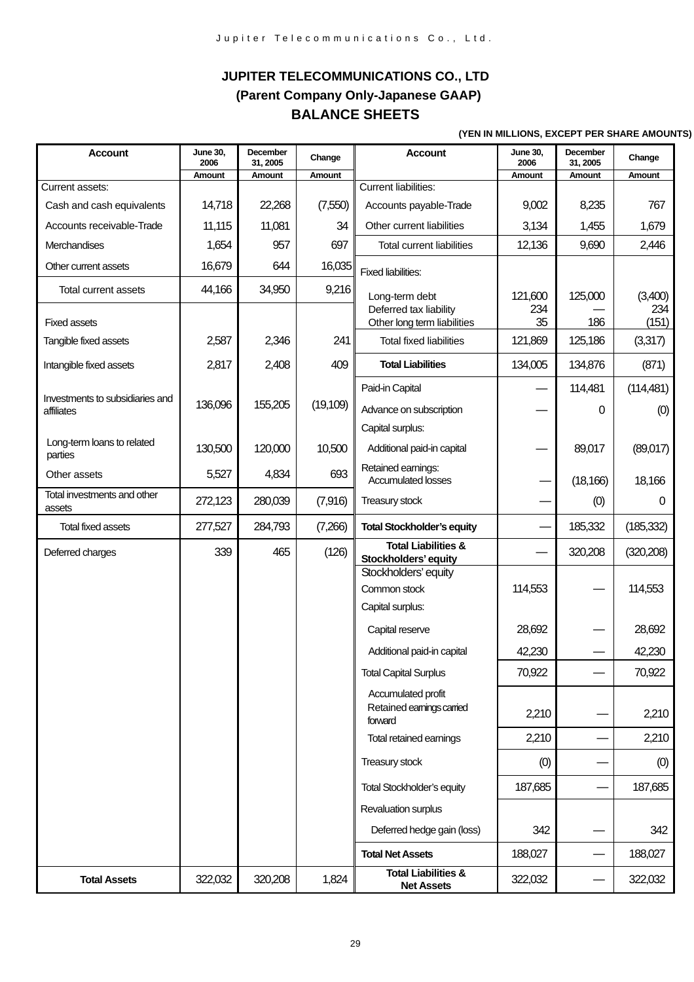# **JUPITER TELECOMMUNICATIONS CO., LTD (Parent Company Only-Japanese GAAP) BALANCE SHEETS**

#### **(YEN IN MILLIONS, EXCEPT PER SHARE AMOUNTS)**

| <b>Account</b>                                | <b>June 30,</b><br>2006 | <b>December</b><br>31, 2005 | Change    | <b>Account</b>                                             | <b>June 30,</b><br>2006 | December<br>31, 2005 | Change       |
|-----------------------------------------------|-------------------------|-----------------------------|-----------|------------------------------------------------------------|-------------------------|----------------------|--------------|
|                                               | Amount                  | Amount                      | Amount    |                                                            | Amount                  | Amount               | Amount       |
| Current assets:                               |                         |                             |           | <b>Current liabilities:</b>                                |                         |                      |              |
| Cash and cash equivalents                     | 14,718                  | 22,268                      | (7,550)   | Accounts payable-Trade                                     | 9,002                   | 8,235                | 767          |
| Accounts receivable-Trade                     | 11,115                  | 11,081                      | 34        | Other current liabilities                                  | 3,134                   | 1,455                | 1,679        |
| Merchandises                                  | 1,654                   | 957                         | 697       | Total current liabilities                                  | 12,136                  | 9,690                | 2,446        |
| Other current assets                          | 16,679                  | 644                         | 16,035    | <b>Fixed liabilities:</b>                                  |                         |                      |              |
| <b>Total current assets</b>                   | 44,166                  | 34,950                      | 9,216     | Long-term debt                                             | 121,600                 | 125,000              | (3,400)      |
| <b>Fixed assets</b>                           |                         |                             |           | Deferred tax liability<br>Other long term liabilities      | 234<br>35               | 186                  | 234<br>(151) |
| Tangible fixed assets                         | 2,587                   | 2,346                       | 241       | <b>Total fixed liabilities</b>                             | 121,869                 | 125,186              | (3,317)      |
| Intangible fixed assets                       | 2,817                   | 2,408                       | 409       | <b>Total Liabilities</b>                                   | 134,005                 | 134,876              | (871)        |
|                                               |                         |                             |           | Paid-in Capital                                            |                         | 114,481              | (114, 481)   |
| Investments to subsidiaries and<br>affiliates | 136,096                 | 155,205                     | (19, 109) | Advance on subscription                                    |                         | 0                    | (0)          |
|                                               |                         |                             |           | Capital surplus:                                           |                         |                      |              |
| Long-term loans to related<br>parties         | 130,500                 | 120,000                     | 10,500    | Additional paid-in capital                                 |                         | 89,017               | (89,017)     |
| Other assets                                  | 5,527                   | 4,834                       | 693       | Retained earnings:<br><b>Accumulated losses</b>            |                         | (18, 166)            | 18,166       |
| Total investments and other<br>assets         | 272,123                 | 280,039                     | (7,916)   | Treasury stock                                             |                         | (0)                  | 0            |
| <b>Total fixed assets</b>                     | 277,527                 | 284,793                     | (7,266)   | <b>Total Stockholder's equity</b>                          |                         | 185,332              | (185, 332)   |
| Deferred charges                              | 339                     | 465                         | (126)     | <b>Total Liabilities &amp;</b><br>Stockholders' equity     |                         | 320,208              | (320, 208)   |
|                                               |                         |                             |           | Stockholders' equity<br>Common stock                       | 114,553                 |                      | 114,553      |
|                                               |                         |                             |           | Capital surplus:                                           |                         |                      |              |
|                                               |                         |                             |           | Capital reserve                                            | 28,692                  |                      | 28,692       |
|                                               |                         |                             |           | Additional paid-in capital                                 | 42,230                  |                      | 42,230       |
|                                               |                         |                             |           | <b>Total Capital Surplus</b>                               | 70,922                  |                      | 70,922       |
|                                               |                         |                             |           | Accumulated profit<br>Retained earnings carried<br>forward | 2,210                   |                      | 2,210        |
|                                               |                         |                             |           | Total retained earnings                                    | 2,210                   |                      | 2,210        |
|                                               |                         |                             |           | Treasury stock                                             | (0)                     |                      | (0)          |
|                                               |                         |                             |           |                                                            |                         |                      |              |
|                                               |                         |                             |           | <b>Total Stockholder's equity</b>                          | 187,685                 |                      | 187,685      |
|                                               |                         |                             |           | Revaluation surplus                                        |                         |                      |              |
|                                               |                         |                             |           | Deferred hedge gain (loss)                                 | 342                     |                      | 342          |
|                                               |                         |                             |           | <b>Total Net Assets</b>                                    | 188,027                 |                      | 188,027      |
| <b>Total Assets</b>                           | 322,032                 | 320,208                     | 1,824     | <b>Total Liabilities &amp;</b><br><b>Net Assets</b>        | 322,032                 |                      | 322,032      |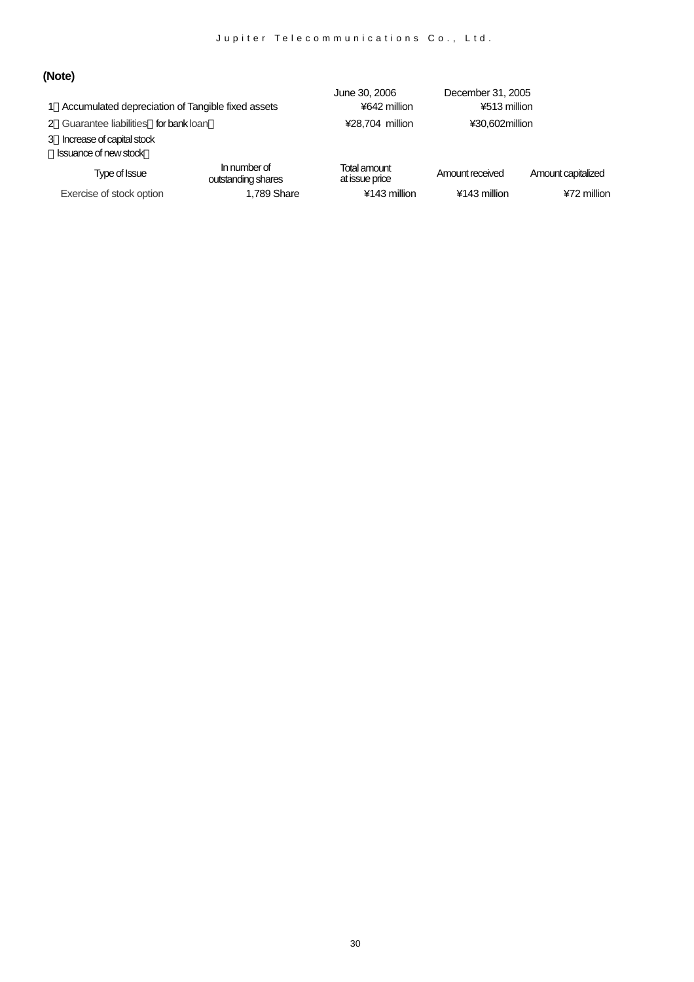# **(Note)**

|                                       | 1 Accumulated depreciation of Tangible fixed assets | June 30, 2006<br>¥642 million  | December 31, 2005<br>¥513 million |                    |
|---------------------------------------|-----------------------------------------------------|--------------------------------|-----------------------------------|--------------------|
| 2 Guarantee liabilities for bank loan |                                                     | ¥28,704 million                | ¥30.602million                    |                    |
| 3 Increase of capital stock           |                                                     |                                |                                   |                    |
| <b>Issuance of new stock</b>          |                                                     |                                |                                   |                    |
| Type of Issue                         | In number of<br>outstanding shares                  | Total amount<br>at issue price | Amount received                   | Amount capitalized |
| Exercise of stock option              | 1,789 Share                                         | ¥143 million                   | ¥143 million                      | ¥72 million        |
|                                       |                                                     |                                |                                   |                    |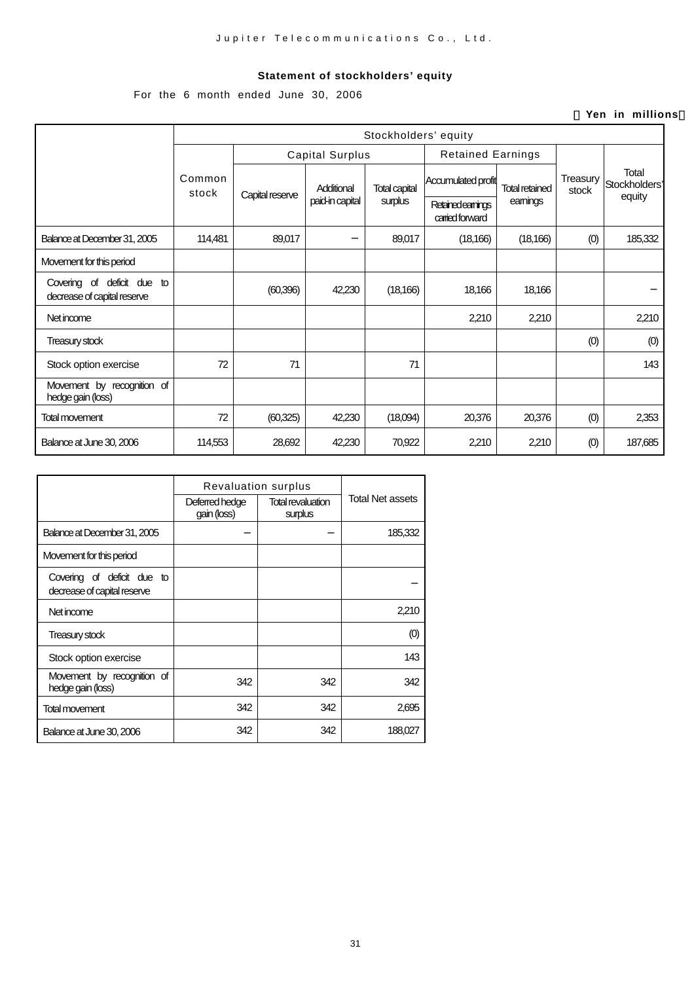#### **Statement of stockholders' equity**

For the 6 month ended June 30, 2006

#### ( **Yen in millions**)

|                                                           | Stockholders' equity |                        |                 |                      |                                      |                       |                   |                                  |
|-----------------------------------------------------------|----------------------|------------------------|-----------------|----------------------|--------------------------------------|-----------------------|-------------------|----------------------------------|
|                                                           |                      | <b>Capital Surplus</b> |                 |                      | <b>Retained Earnings</b>             |                       |                   |                                  |
|                                                           | Common<br>stock      | Capital reserve        | Additional      | <b>Total capital</b> | Accumulated profit                   | <b>Total retained</b> | Treasury<br>stock | Total<br>Stockholders'<br>equity |
|                                                           |                      |                        | paid-in capital | surplus              | Retained earnings<br>carried forward | eamings               |                   |                                  |
| Balance at December 31, 2005                              | 114,481              | 89,017                 |                 | 89,017               | (18, 166)                            | (18, 166)             | (0)               | 185,332                          |
| Movement for this period                                  |                      |                        |                 |                      |                                      |                       |                   |                                  |
| Covering of deficit due to<br>decrease of capital reserve |                      | (60, 396)              | 42,230          | (18, 166)            | 18,166                               | 18,166                |                   |                                  |
| Net income                                                |                      |                        |                 |                      | 2,210                                | 2,210                 |                   | 2,210                            |
| <b>Treasury stock</b>                                     |                      |                        |                 |                      |                                      |                       | (0)               | (0)                              |
| Stock option exercise                                     | 72                   | 71                     |                 | 71                   |                                      |                       |                   | 143                              |
| Movement by recognition of<br>hedge gain (loss)           |                      |                        |                 |                      |                                      |                       |                   |                                  |
| Total movement                                            | 72                   | (60, 325)              | 42,230          | (18,094)             | 20,376                               | 20,376                | (0)               | 2,353                            |
| Balance at June 30, 2006                                  | 114,553              | 28,692                 | 42,230          | 70,922               | 2,210                                | 2,210                 | (0)               | 187,685                          |

|                                                           | <b>Revaluation surplus</b>    |                                     |                  |
|-----------------------------------------------------------|-------------------------------|-------------------------------------|------------------|
|                                                           | Deferred hedge<br>gain (loss) | <b>Total revaluation</b><br>surplus | Total Net assets |
| Balance at December 31, 2005                              |                               |                                     | 185,332          |
| Movement for this period                                  |                               |                                     |                  |
| Covering of deficit due to<br>decrease of capital reserve |                               |                                     |                  |
| Net income                                                |                               |                                     | 2,210            |
| <b>Treasury stock</b>                                     |                               |                                     | (0)              |
| Stock option exercise                                     |                               |                                     | 143              |
| Movement by recognition of<br>hedge gain (loss)           | 342                           | 342                                 | 342              |
| <b>Total movement</b>                                     | 342                           | 342                                 | 2,695            |
| Balance at June 30, 2006                                  | 342                           | 342                                 | 188,027          |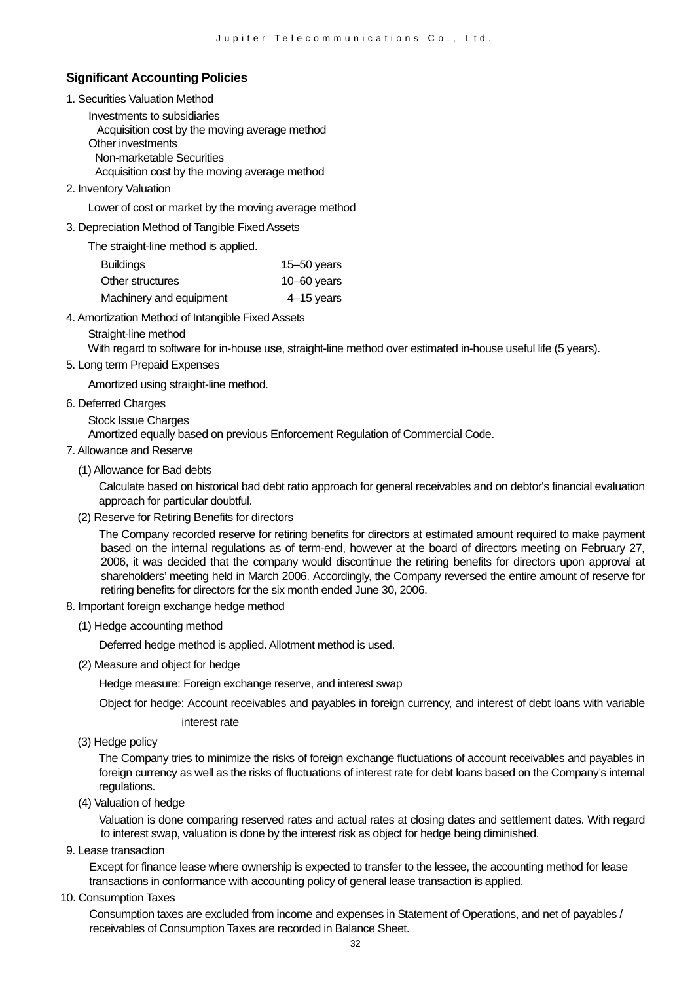#### **Significant Accounting Policies**

1. Securities Valuation Method

Investments to subsidiaries Acquisition cost by the moving average method Other investments Non-marketable Securities Acquisition cost by the moving average method

2. Inventory Valuation

Lower of cost or market by the moving average method

#### 3. Depreciation Method of Tangible Fixed Assets

The straight-line method is applied.

| Buildings               | 15 $-50$ years |
|-------------------------|----------------|
| Other structures        | 10 $-60$ years |
| Machinery and equipment | 4–15 years     |

- 4. Amortization Method of Intangible Fixed Assets
	- Straight-line method

With regard to software for in-house use, straight-line method over estimated in-house useful life (5 years).

#### 5. Long term Prepaid Expenses

Amortized using straight-line method.

- 6. Deferred Charges
	- Stock Issue Charges

Amortized equally based on previous Enforcement Regulation of Commercial Code.

#### 7. Allowance and Reserve

(1) Allowance for Bad debts

Calculate based on historical bad debt ratio approach for general receivables and on debtor's financial evaluation approach for particular doubtful.

(2) Reserve for Retiring Benefits for directors

The Company recorded reserve for retiring benefits for directors at estimated amount required to make payment based on the internal regulations as of term-end, however at the board of directors meeting on February 27, 2006, it was decided that the company would discontinue the retiring benefits for directors upon approval at shareholders' meeting held in March 2006. Accordingly, the Company reversed the entire amount of reserve for retiring benefits for directors for the six month ended June 30, 2006.

- 8. Important foreign exchange hedge method
	- (1) Hedge accounting method

Deferred hedge method is applied. Allotment method is used.

(2) Measure and object for hedge

Hedge measure: Foreign exchange reserve, and interest swap

Object for hedge: Account receivables and payables in foreign currency, and interest of debt loans with variable

interest rate

(3) Hedge policy

The Company tries to minimize the risks of foreign exchange fluctuations of account receivables and payables in foreign currency as well as the risks of fluctuations of interest rate for debt loans based on the Company's internal regulations.

(4) Valuation of hedge

Valuation is done comparing reserved rates and actual rates at closing dates and settlement dates. With regard to interest swap, valuation is done by the interest risk as object for hedge being diminished.

9. Lease transaction

Except for finance lease where ownership is expected to transfer to the lessee, the accounting method for lease transactions in conformance with accounting policy of general lease transaction is applied.

10. Consumption Taxes

Consumption taxes are excluded from income and expenses in Statement of Operations, and net of payables / receivables of Consumption Taxes are recorded in Balance Sheet.